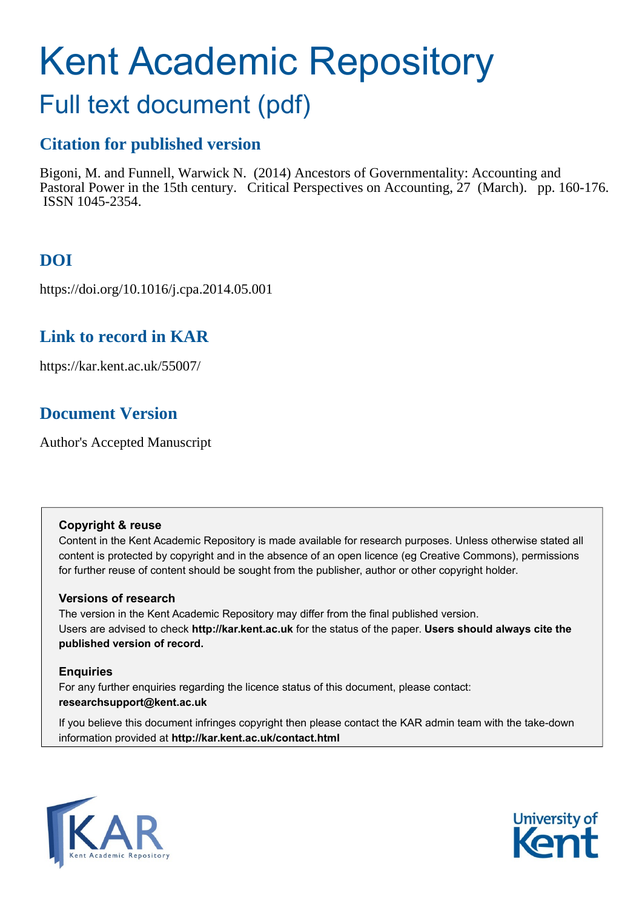# Kent Academic Repository

## Full text document (pdf)

## **Citation for published version**

Bigoni, M. and Funnell, Warwick N. (2014) Ancestors of Governmentality: Accounting and Pastoral Power in the 15th century. Critical Perspectives on Accounting, 27 (March). pp. 160-176. ISSN 1045-2354.

## **DOI**

https://doi.org/10.1016/j.cpa.2014.05.001

## **Link to record in KAR**

https://kar.kent.ac.uk/55007/

## **Document Version**

Author's Accepted Manuscript

#### **Copyright & reuse**

Content in the Kent Academic Repository is made available for research purposes. Unless otherwise stated all content is protected by copyright and in the absence of an open licence (eg Creative Commons), permissions for further reuse of content should be sought from the publisher, author or other copyright holder.

#### **Versions of research**

The version in the Kent Academic Repository may differ from the final published version. Users are advised to check **http://kar.kent.ac.uk** for the status of the paper. **Users should always cite the published version of record.**

#### **Enquiries**

For any further enquiries regarding the licence status of this document, please contact: **researchsupport@kent.ac.uk**

If you believe this document infringes copyright then please contact the KAR admin team with the take-down information provided at **http://kar.kent.ac.uk/contact.html**



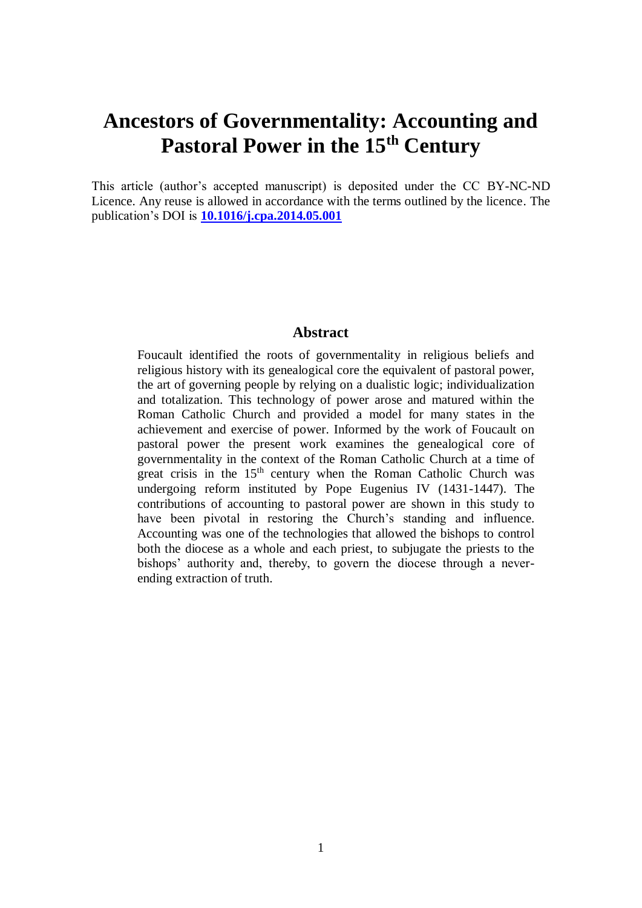## **Ancestors of Governmentality: Accounting and Pastoral Power in the 15th Century**

This article (author's accepted manuscript) is deposited under the CC BY-NC-ND Licence. Any reuse is allowed in accordance with the terms outlined by the licence. The publication's DOI is **[10.1016/j.cpa.2014.05.001](https://doi.org/10.1016/j.cpa.2014.05.001)**

#### **Abstract**

Foucault identified the roots of governmentality in religious beliefs and religious history with its genealogical core the equivalent of pastoral power, the art of governing people by relying on a dualistic logic; individualization and totalization. This technology of power arose and matured within the Roman Catholic Church and provided a model for many states in the achievement and exercise of power. Informed by the work of Foucault on pastoral power the present work examines the genealogical core of governmentality in the context of the Roman Catholic Church at a time of great crisis in the  $15<sup>th</sup>$  century when the Roman Catholic Church was undergoing reform instituted by Pope Eugenius IV (1431-1447). The contributions of accounting to pastoral power are shown in this study to have been pivotal in restoring the Church's standing and influence. Accounting was one of the technologies that allowed the bishops to control both the diocese as a whole and each priest, to subjugate the priests to the bishops' authority and, thereby, to govern the diocese through a neverending extraction of truth.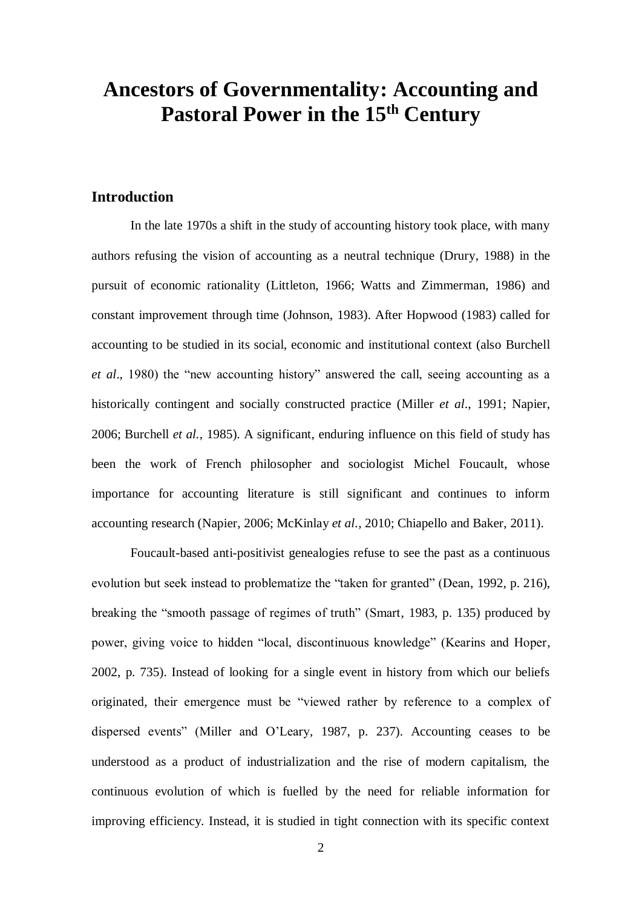## **Ancestors of Governmentality: Accounting and Pastoral Power in the 15th Century**

#### **Introduction**

In the late 1970s a shift in the study of accounting history took place, with many authors refusing the vision of accounting as a neutral technique (Drury, 1988) in the pursuit of economic rationality (Littleton, 1966; Watts and Zimmerman, 1986) and constant improvement through time (Johnson, 1983). After Hopwood (1983) called for accounting to be studied in its social, economic and institutional context (also Burchell *et al*., 1980) the "new accounting history" answered the call, seeing accounting as a historically contingent and socially constructed practice (Miller *et al*., 1991; Napier, 2006; Burchell *et al.*, 1985). A significant, enduring influence on this field of study has been the work of French philosopher and sociologist Michel Foucault, whose importance for accounting literature is still significant and continues to inform accounting research (Napier, 2006; McKinlay *et al.*, 2010; Chiapello and Baker, 2011).

Foucault-based anti-positivist genealogies refuse to see the past as a continuous evolution but seek instead to problematize the "taken for granted" (Dean, 1992, p. 216), breaking the "smooth passage of regimes of truth" (Smart, 1983, p. 135) produced by power, giving voice to hidden "local, discontinuous knowledge" (Kearins and Hoper, 2002, p. 735). Instead of looking for a single event in history from which our beliefs originated, their emergence must be "viewed rather by reference to a complex of dispersed events" (Miller and O'Leary, 1987, p. 237). Accounting ceases to be understood as a product of industrialization and the rise of modern capitalism, the continuous evolution of which is fuelled by the need for reliable information for improving efficiency. Instead, it is studied in tight connection with its specific context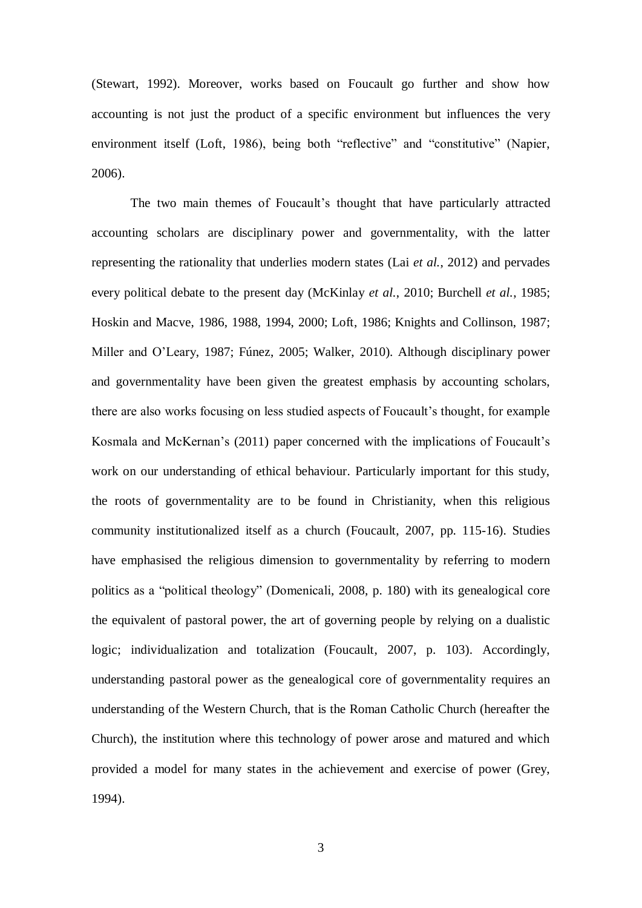(Stewart, 1992). Moreover, works based on Foucault go further and show how accounting is not just the product of a specific environment but influences the very environment itself (Loft, 1986), being both "reflective" and "constitutive" (Napier, 2006).

The two main themes of Foucault's thought that have particularly attracted accounting scholars are disciplinary power and governmentality, with the latter representing the rationality that underlies modern states (Lai *et al.*, 2012) and pervades every political debate to the present day (McKinlay *et al.*, 2010; Burchell *et al.*, 1985; Hoskin and Macve, 1986, 1988, 1994, 2000; Loft, 1986; Knights and Collinson, 1987; Miller and O'Leary, 1987; Fúnez, 2005; Walker, 2010). Although disciplinary power and governmentality have been given the greatest emphasis by accounting scholars, there are also works focusing on less studied aspects of Foucault's thought, for example Kosmala and McKernan's (2011) paper concerned with the implications of Foucault's work on our understanding of ethical behaviour. Particularly important for this study, the roots of governmentality are to be found in Christianity, when this religious community institutionalized itself as a church (Foucault, 2007, pp. 115-16). Studies have emphasised the religious dimension to governmentality by referring to modern politics as a "political theology" (Domenicali, 2008, p. 180) with its genealogical core the equivalent of pastoral power, the art of governing people by relying on a dualistic logic; individualization and totalization (Foucault, 2007, p. 103). Accordingly, understanding pastoral power as the genealogical core of governmentality requires an understanding of the Western Church, that is the Roman Catholic Church (hereafter the Church), the institution where this technology of power arose and matured and which provided a model for many states in the achievement and exercise of power (Grey, 1994).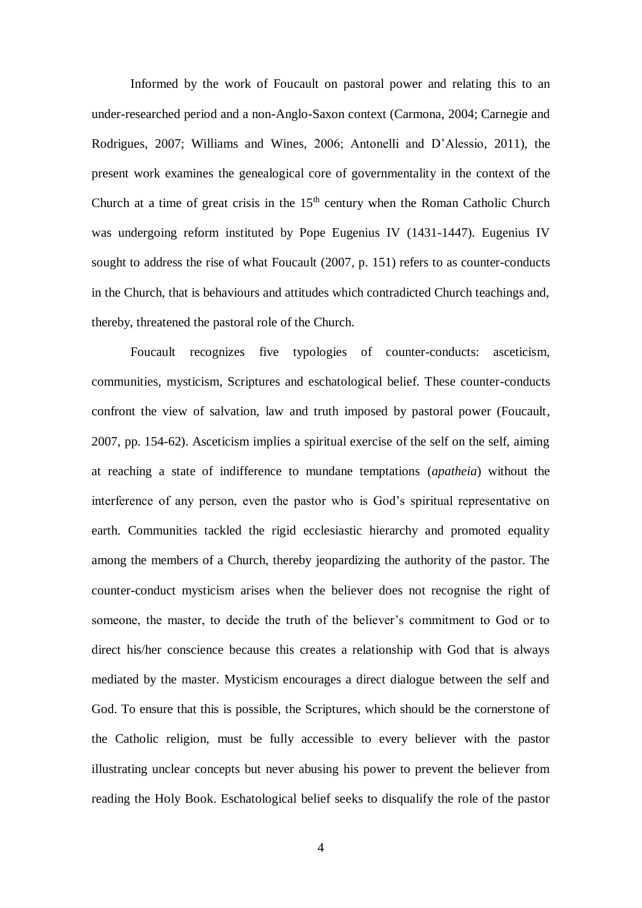Informed by the work of Foucault on pastoral power and relating this to an under-researched period and a non-Anglo-Saxon context (Carmona, 2004; Carnegie and Rodrigues, 2007; Williams and Wines, 2006; Antonelli and D'Alessio, 2011), the present work examines the genealogical core of governmentality in the context of the Church at a time of great crisis in the  $15<sup>th</sup>$  century when the Roman Catholic Church was undergoing reform instituted by Pope Eugenius IV (1431-1447). Eugenius IV sought to address the rise of what Foucault (2007, p. 151) refers to as counter-conducts in the Church, that is behaviours and attitudes which contradicted Church teachings and, thereby, threatened the pastoral role of the Church.

Foucault recognizes five typologies of counter-conducts: asceticism, communities, mysticism, Scriptures and eschatological belief. These counter-conducts confront the view of salvation, law and truth imposed by pastoral power (Foucault, 2007, pp. 154-62). Asceticism implies a spiritual exercise of the self on the self, aiming at reaching a state of indifference to mundane temptations (*apatheia*) without the interference of any person, even the pastor who is God's spiritual representative on earth. Communities tackled the rigid ecclesiastic hierarchy and promoted equality among the members of a Church, thereby jeopardizing the authority of the pastor. The counter-conduct mysticism arises when the believer does not recognise the right of someone, the master, to decide the truth of the believer's commitment to God or to direct his/her conscience because this creates a relationship with God that is always mediated by the master. Mysticism encourages a direct dialogue between the self and God. To ensure that this is possible, the Scriptures, which should be the cornerstone of the Catholic religion, must be fully accessible to every believer with the pastor illustrating unclear concepts but never abusing his power to prevent the believer from reading the Holy Book. Eschatological belief seeks to disqualify the role of the pastor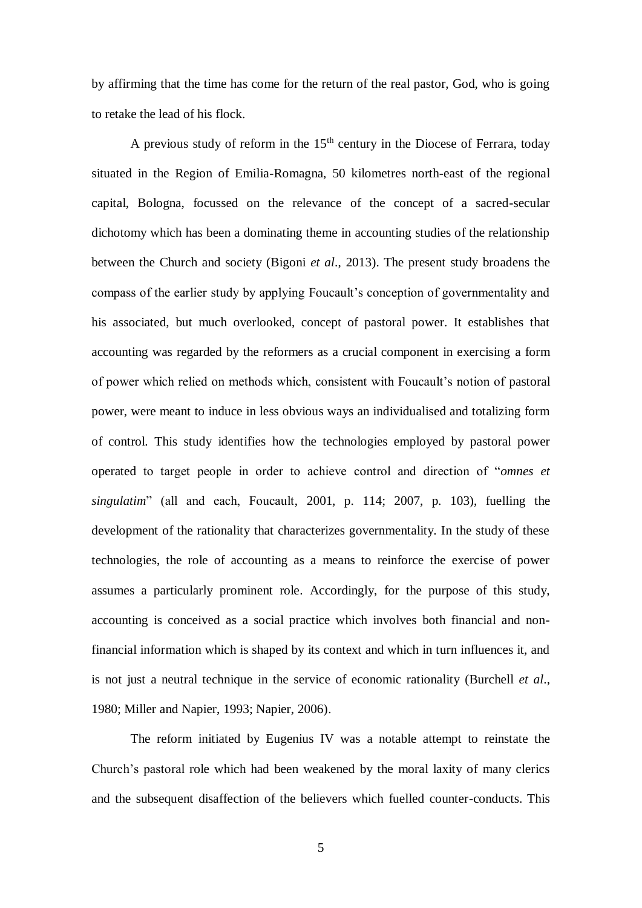by affirming that the time has come for the return of the real pastor, God, who is going to retake the lead of his flock.

A previous study of reform in the  $15<sup>th</sup>$  century in the Diocese of Ferrara, today situated in the Region of Emilia-Romagna, 50 kilometres north-east of the regional capital, Bologna, focussed on the relevance of the concept of a sacred-secular dichotomy which has been a dominating theme in accounting studies of the relationship between the Church and society (Bigoni *et al*., 2013). The present study broadens the compass of the earlier study by applying Foucault's conception of governmentality and his associated, but much overlooked, concept of pastoral power. It establishes that accounting was regarded by the reformers as a crucial component in exercising a form of power which relied on methods which, consistent with Foucault's notion of pastoral power, were meant to induce in less obvious ways an individualised and totalizing form of control. This study identifies how the technologies employed by pastoral power operated to target people in order to achieve control and direction of "*omnes et singulatim*" (all and each, Foucault, 2001, p. 114; 2007, p. 103), fuelling the development of the rationality that characterizes governmentality. In the study of these technologies, the role of accounting as a means to reinforce the exercise of power assumes a particularly prominent role. Accordingly, for the purpose of this study, accounting is conceived as a social practice which involves both financial and nonfinancial information which is shaped by its context and which in turn influences it, and is not just a neutral technique in the service of economic rationality (Burchell *et al*., 1980; Miller and Napier, 1993; Napier, 2006).

The reform initiated by Eugenius IV was a notable attempt to reinstate the Church's pastoral role which had been weakened by the moral laxity of many clerics and the subsequent disaffection of the believers which fuelled counter-conducts. This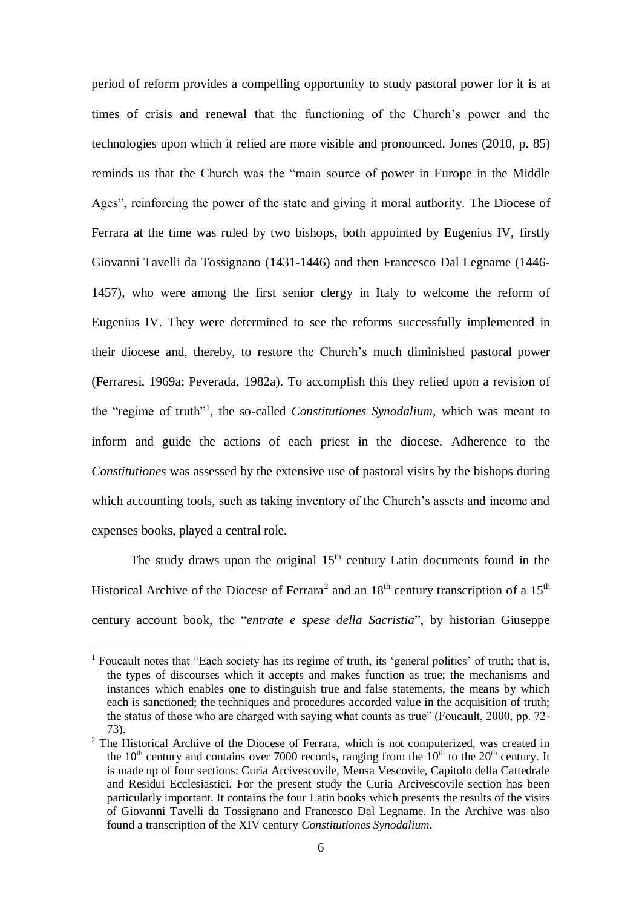period of reform provides a compelling opportunity to study pastoral power for it is at times of crisis and renewal that the functioning of the Church's power and the technologies upon which it relied are more visible and pronounced. Jones (2010, p. 85) reminds us that the Church was the "main source of power in Europe in the Middle Ages", reinforcing the power of the state and giving it moral authority. The Diocese of Ferrara at the time was ruled by two bishops, both appointed by Eugenius IV, firstly Giovanni Tavelli da Tossignano (1431-1446) and then Francesco Dal Legname (1446- 1457), who were among the first senior clergy in Italy to welcome the reform of Eugenius IV. They were determined to see the reforms successfully implemented in their diocese and, thereby, to restore the Church's much diminished pastoral power (Ferraresi, 1969a; Peverada, 1982a). To accomplish this they relied upon a revision of the "regime of truth"<sup>1</sup> , the so-called *Constitutiones Synodalium,* which was meant to inform and guide the actions of each priest in the diocese. Adherence to the *Constitutiones* was assessed by the extensive use of pastoral visits by the bishops during which accounting tools, such as taking inventory of the Church's assets and income and expenses books, played a central role.

The study draws upon the original  $15<sup>th</sup>$  century Latin documents found in the Historical Archive of the Diocese of Ferrara<sup>2</sup> and an  $18<sup>th</sup>$  century transcription of a  $15<sup>th</sup>$ century account book, the "*entrate e spese della Sacristia*", by historian Giuseppe

<sup>&</sup>lt;sup>1</sup> Foucault notes that "Each society has its regime of truth, its 'general politics' of truth; that is, the types of discourses which it accepts and makes function as true; the mechanisms and instances which enables one to distinguish true and false statements, the means by which each is sanctioned; the techniques and procedures accorded value in the acquisition of truth; the status of those who are charged with saying what counts as true" (Foucault, 2000, pp. 72- 73).

<sup>&</sup>lt;sup>2</sup> The Historical Archive of the Diocese of Ferrara, which is not computerized, was created in the 10<sup>th</sup> century and contains over 7000 records, ranging from the  $10^{th}$  to the  $20^{th}$  century. It is made up of four sections: Curia Arcivescovile, Mensa Vescovile, Capitolo della Cattedrale and Residui Ecclesiastici. For the present study the Curia Arcivescovile section has been particularly important. It contains the four Latin books which presents the results of the visits of Giovanni Tavelli da Tossignano and Francesco Dal Legname. In the Archive was also found a transcription of the XIV century *Constitutiones Synodalium*.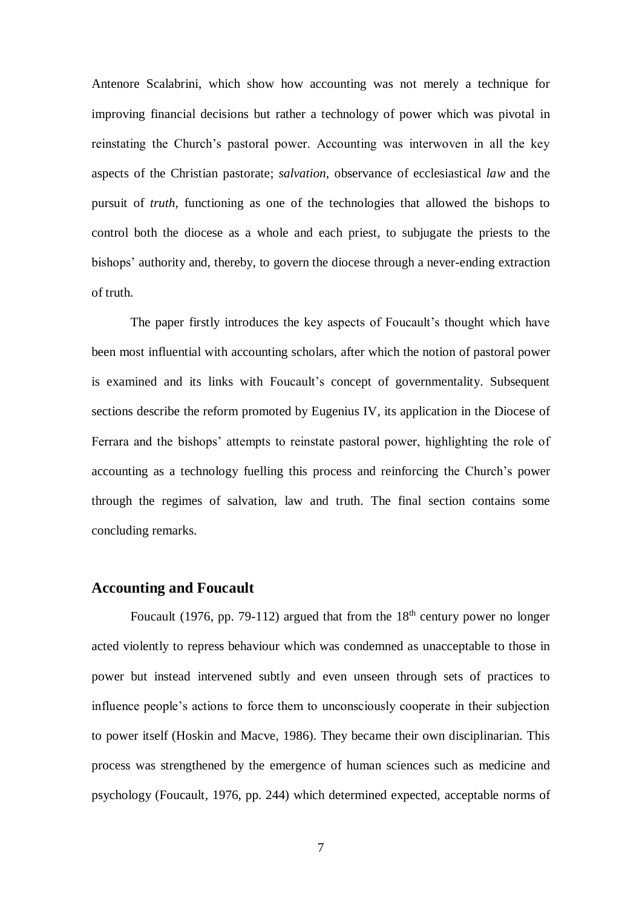Antenore Scalabrini, which show how accounting was not merely a technique for improving financial decisions but rather a technology of power which was pivotal in reinstating the Church's pastoral power. Accounting was interwoven in all the key aspects of the Christian pastorate; *salvation*, observance of ecclesiastical *law* and the pursuit of *truth*, functioning as one of the technologies that allowed the bishops to control both the diocese as a whole and each priest, to subjugate the priests to the bishops' authority and, thereby, to govern the diocese through a never-ending extraction of truth.

The paper firstly introduces the key aspects of Foucault's thought which have been most influential with accounting scholars, after which the notion of pastoral power is examined and its links with Foucault's concept of governmentality. Subsequent sections describe the reform promoted by Eugenius IV, its application in the Diocese of Ferrara and the bishops' attempts to reinstate pastoral power, highlighting the role of accounting as a technology fuelling this process and reinforcing the Church's power through the regimes of salvation, law and truth. The final section contains some concluding remarks.

#### **Accounting and Foucault**

Foucault (1976, pp. 79-112) argued that from the  $18<sup>th</sup>$  century power no longer acted violently to repress behaviour which was condemned as unacceptable to those in power but instead intervened subtly and even unseen through sets of practices to influence people's actions to force them to unconsciously cooperate in their subjection to power itself (Hoskin and Macve, 1986). They became their own disciplinarian. This process was strengthened by the emergence of human sciences such as medicine and psychology (Foucault, 1976, pp. 244) which determined expected, acceptable norms of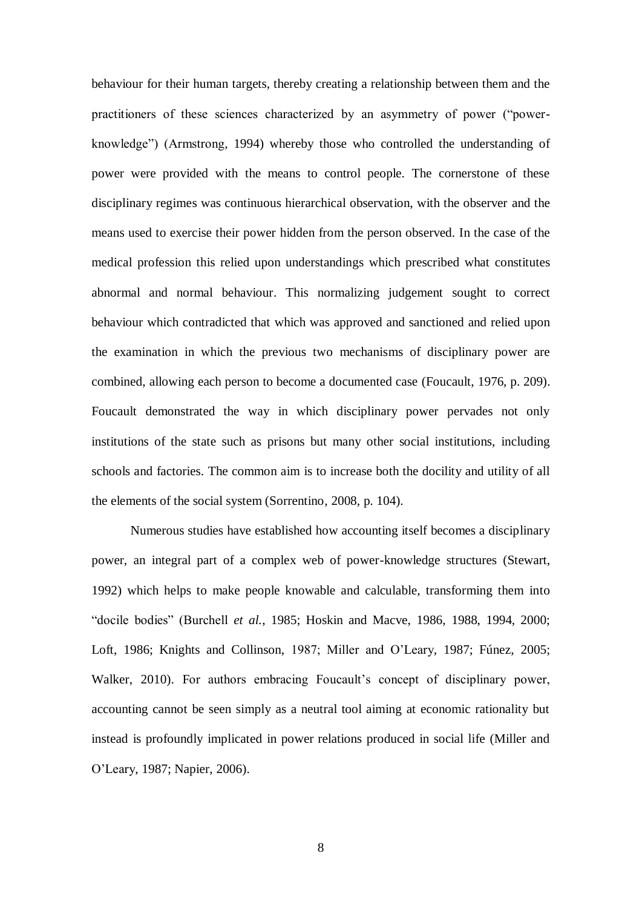behaviour for their human targets, thereby creating a relationship between them and the practitioners of these sciences characterized by an asymmetry of power ("powerknowledge") (Armstrong, 1994) whereby those who controlled the understanding of power were provided with the means to control people. The cornerstone of these disciplinary regimes was continuous hierarchical observation, with the observer and the means used to exercise their power hidden from the person observed. In the case of the medical profession this relied upon understandings which prescribed what constitutes abnormal and normal behaviour. This normalizing judgement sought to correct behaviour which contradicted that which was approved and sanctioned and relied upon the examination in which the previous two mechanisms of disciplinary power are combined, allowing each person to become a documented case (Foucault, 1976, p. 209). Foucault demonstrated the way in which disciplinary power pervades not only institutions of the state such as prisons but many other social institutions, including schools and factories. The common aim is to increase both the docility and utility of all the elements of the social system (Sorrentino, 2008, p. 104).

Numerous studies have established how accounting itself becomes a disciplinary power, an integral part of a complex web of power-knowledge structures (Stewart, 1992) which helps to make people knowable and calculable, transforming them into "docile bodies" (Burchell *et al.*, 1985; Hoskin and Macve, 1986, 1988, 1994, 2000; Loft, 1986; Knights and Collinson, 1987; Miller and O'Leary, 1987; Fúnez, 2005; Walker, 2010). For authors embracing Foucault's concept of disciplinary power, accounting cannot be seen simply as a neutral tool aiming at economic rationality but instead is profoundly implicated in power relations produced in social life (Miller and O'Leary, 1987; Napier, 2006).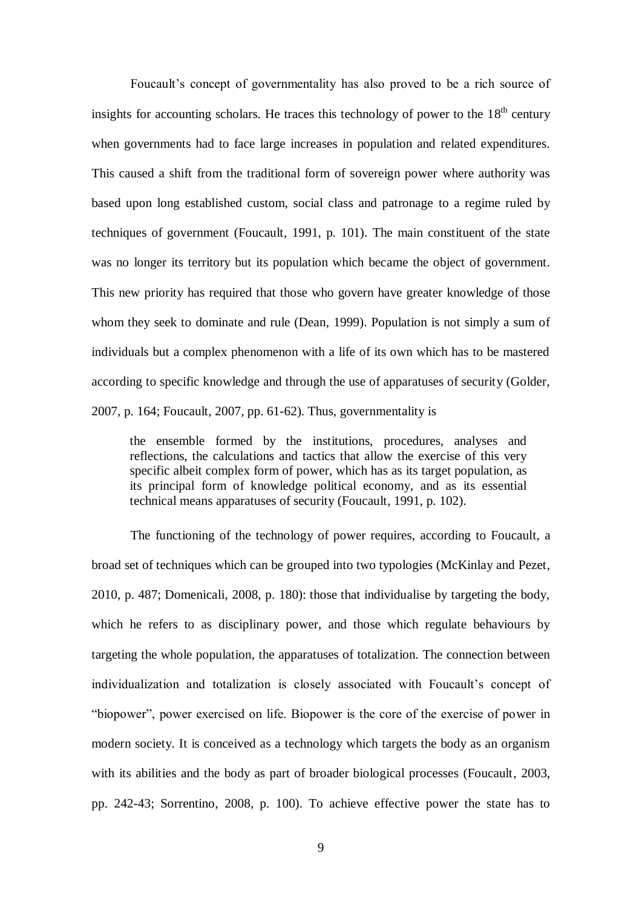Foucault's concept of governmentality has also proved to be a rich source of insights for accounting scholars. He traces this technology of power to the  $18<sup>th</sup>$  century when governments had to face large increases in population and related expenditures. This caused a shift from the traditional form of sovereign power where authority was based upon long established custom, social class and patronage to a regime ruled by techniques of government (Foucault, 1991, p. 101). The main constituent of the state was no longer its territory but its population which became the object of government. This new priority has required that those who govern have greater knowledge of those whom they seek to dominate and rule (Dean, 1999). Population is not simply a sum of individuals but a complex phenomenon with a life of its own which has to be mastered according to specific knowledge and through the use of apparatuses of security (Golder, 2007, p. 164; Foucault, 2007, pp. 61-62). Thus, governmentality is

the ensemble formed by the institutions, procedures, analyses and reflections, the calculations and tactics that allow the exercise of this very specific albeit complex form of power, which has as its target population, as its principal form of knowledge political economy, and as its essential technical means apparatuses of security (Foucault, 1991, p. 102).

The functioning of the technology of power requires, according to Foucault, a broad set of techniques which can be grouped into two typologies (McKinlay and Pezet, 2010, p. 487; Domenicali, 2008, p. 180): those that individualise by targeting the body, which he refers to as disciplinary power, and those which regulate behaviours by targeting the whole population, the apparatuses of totalization. The connection between individualization and totalization is closely associated with Foucault's concept of "biopower", power exercised on life. Biopower is the core of the exercise of power in modern society. It is conceived as a technology which targets the body as an organism with its abilities and the body as part of broader biological processes (Foucault, 2003, pp. 242-43; Sorrentino, 2008, p. 100). To achieve effective power the state has to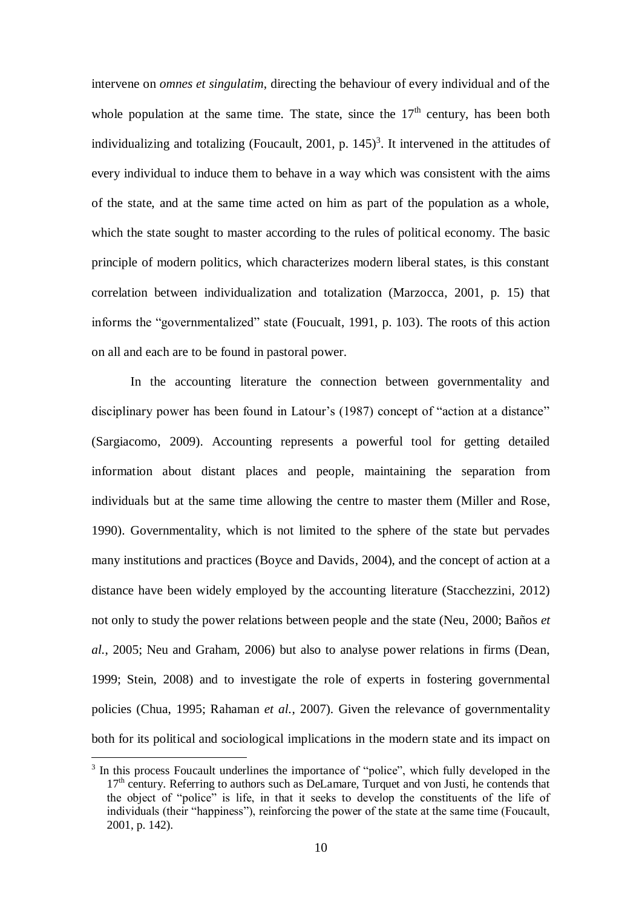intervene on *omnes et singulatim*, directing the behaviour of every individual and of the whole population at the same time. The state, since the  $17<sup>th</sup>$  century, has been both individualizing and totalizing (Foucault, 2001, p.  $145$ )<sup>3</sup>. It intervened in the attitudes of every individual to induce them to behave in a way which was consistent with the aims of the state, and at the same time acted on him as part of the population as a whole, which the state sought to master according to the rules of political economy. The basic principle of modern politics, which characterizes modern liberal states, is this constant correlation between individualization and totalization (Marzocca, 2001, p. 15) that informs the "governmentalized" state (Foucualt, 1991, p. 103). The roots of this action on all and each are to be found in pastoral power.

In the accounting literature the connection between governmentality and disciplinary power has been found in Latour's (1987) concept of "action at a distance" (Sargiacomo, 2009). Accounting represents a powerful tool for getting detailed information about distant places and people, maintaining the separation from individuals but at the same time allowing the centre to master them (Miller and Rose, 1990). Governmentality, which is not limited to the sphere of the state but pervades many institutions and practices (Boyce and Davids, 2004), and the concept of action at a distance have been widely employed by the accounting literature (Stacchezzini, 2012) not only to study the power relations between people and the state (Neu, 2000; Baños *et al.*, 2005; Neu and Graham, 2006) but also to analyse power relations in firms (Dean, 1999; Stein, 2008) and to investigate the role of experts in fostering governmental policies (Chua, 1995; Rahaman *et al.*, 2007). Given the relevance of governmentality both for its political and sociological implications in the modern state and its impact on

<sup>&</sup>lt;sup>3</sup> In this process Foucault underlines the importance of "police", which fully developed in the 17<sup>th</sup> century. Referring to authors such as DeLamare, Turquet and von Justi, he contends that the object of "police" is life, in that it seeks to develop the constituents of the life of individuals (their "happiness"), reinforcing the power of the state at the same time (Foucault, 2001, p. 142).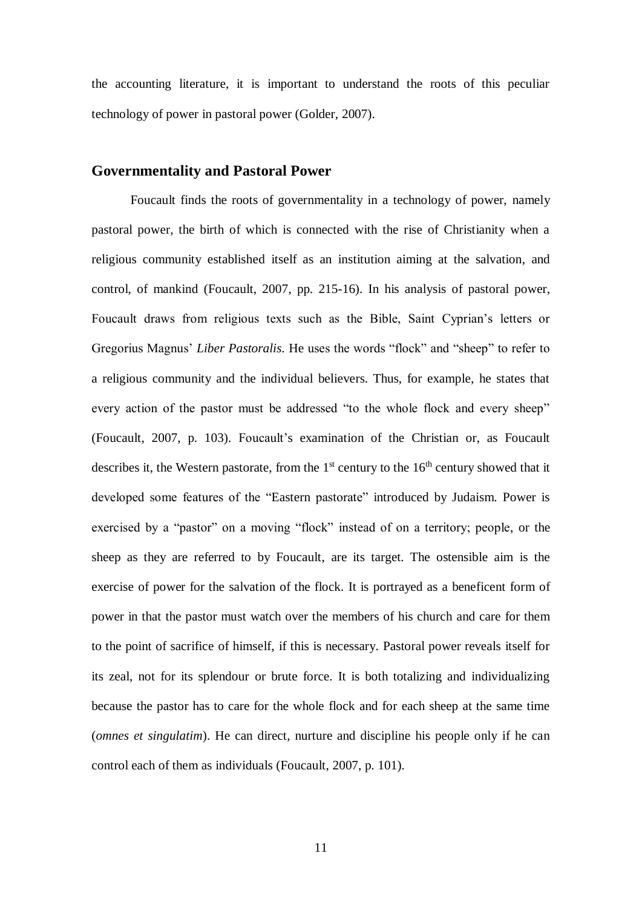the accounting literature, it is important to understand the roots of this peculiar technology of power in pastoral power (Golder, 2007).

#### **Governmentality and Pastoral Power**

Foucault finds the roots of governmentality in a technology of power, namely pastoral power, the birth of which is connected with the rise of Christianity when a religious community established itself as an institution aiming at the salvation, and control, of mankind (Foucault, 2007, pp. 215-16). In his analysis of pastoral power, Foucault draws from religious texts such as the Bible, Saint Cyprian's letters or Gregorius Magnus' *Liber Pastoralis*. He uses the words "flock" and "sheep" to refer to a religious community and the individual believers. Thus, for example, he states that every action of the pastor must be addressed "to the whole flock and every sheep" (Foucault, 2007, p. 103). Foucault's examination of the Christian or, as Foucault describes it, the Western pastorate, from the  $1<sup>st</sup>$  century to the  $16<sup>th</sup>$  century showed that it developed some features of the "Eastern pastorate" introduced by Judaism. Power is exercised by a "pastor" on a moving "flock" instead of on a territory; people, or the sheep as they are referred to by Foucault, are its target. The ostensible aim is the exercise of power for the salvation of the flock. It is portrayed as a beneficent form of power in that the pastor must watch over the members of his church and care for them to the point of sacrifice of himself, if this is necessary. Pastoral power reveals itself for its zeal, not for its splendour or brute force. It is both totalizing and individualizing because the pastor has to care for the whole flock and for each sheep at the same time (*omnes et singulatim*). He can direct, nurture and discipline his people only if he can control each of them as individuals (Foucault, 2007, p. 101).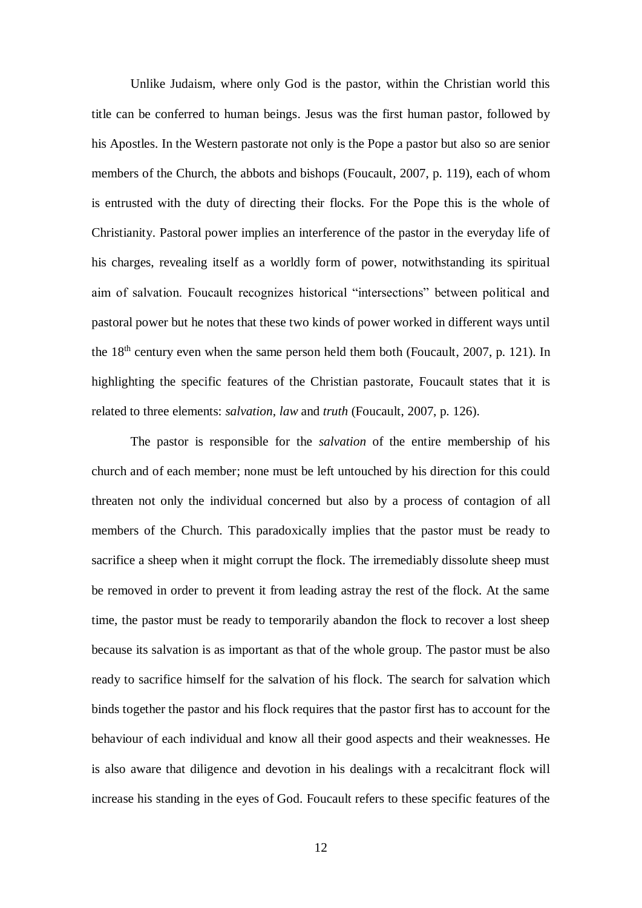Unlike Judaism, where only God is the pastor, within the Christian world this title can be conferred to human beings. Jesus was the first human pastor, followed by his Apostles. In the Western pastorate not only is the Pope a pastor but also so are senior members of the Church, the abbots and bishops (Foucault, 2007, p. 119), each of whom is entrusted with the duty of directing their flocks. For the Pope this is the whole of Christianity. Pastoral power implies an interference of the pastor in the everyday life of his charges, revealing itself as a worldly form of power, notwithstanding its spiritual aim of salvation. Foucault recognizes historical "intersections" between political and pastoral power but he notes that these two kinds of power worked in different ways until the  $18<sup>th</sup>$  century even when the same person held them both (Foucault, 2007, p. 121). In highlighting the specific features of the Christian pastorate, Foucault states that it is related to three elements: *salvation*, *law* and *truth* (Foucault, 2007, p. 126).

The pastor is responsible for the *salvation* of the entire membership of his church and of each member; none must be left untouched by his direction for this could threaten not only the individual concerned but also by a process of contagion of all members of the Church. This paradoxically implies that the pastor must be ready to sacrifice a sheep when it might corrupt the flock. The irremediably dissolute sheep must be removed in order to prevent it from leading astray the rest of the flock. At the same time, the pastor must be ready to temporarily abandon the flock to recover a lost sheep because its salvation is as important as that of the whole group. The pastor must be also ready to sacrifice himself for the salvation of his flock. The search for salvation which binds together the pastor and his flock requires that the pastor first has to account for the behaviour of each individual and know all their good aspects and their weaknesses. He is also aware that diligence and devotion in his dealings with a recalcitrant flock will increase his standing in the eyes of God. Foucault refers to these specific features of the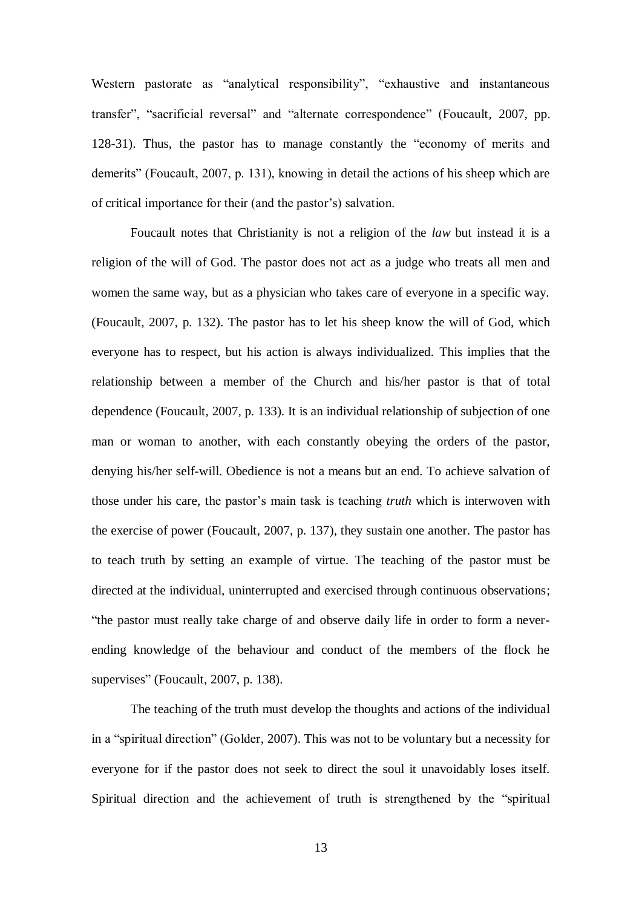Western pastorate as "analytical responsibility", "exhaustive and instantaneous transfer", "sacrificial reversal" and "alternate correspondence" (Foucault, 2007, pp. 128-31). Thus, the pastor has to manage constantly the "economy of merits and demerits" (Foucault, 2007, p. 131), knowing in detail the actions of his sheep which are of critical importance for their (and the pastor's) salvation.

Foucault notes that Christianity is not a religion of the *law* but instead it is a religion of the will of God. The pastor does not act as a judge who treats all men and women the same way, but as a physician who takes care of everyone in a specific way. (Foucault, 2007, p. 132). The pastor has to let his sheep know the will of God, which everyone has to respect, but his action is always individualized. This implies that the relationship between a member of the Church and his/her pastor is that of total dependence (Foucault, 2007, p. 133). It is an individual relationship of subjection of one man or woman to another, with each constantly obeying the orders of the pastor, denying his/her self-will. Obedience is not a means but an end. To achieve salvation of those under his care, the pastor's main task is teaching *truth* which is interwoven with the exercise of power (Foucault, 2007, p. 137), they sustain one another. The pastor has to teach truth by setting an example of virtue. The teaching of the pastor must be directed at the individual, uninterrupted and exercised through continuous observations; "the pastor must really take charge of and observe daily life in order to form a neverending knowledge of the behaviour and conduct of the members of the flock he supervises" (Foucault, 2007, p. 138).

The teaching of the truth must develop the thoughts and actions of the individual in a "spiritual direction" (Golder, 2007). This was not to be voluntary but a necessity for everyone for if the pastor does not seek to direct the soul it unavoidably loses itself. Spiritual direction and the achievement of truth is strengthened by the "spiritual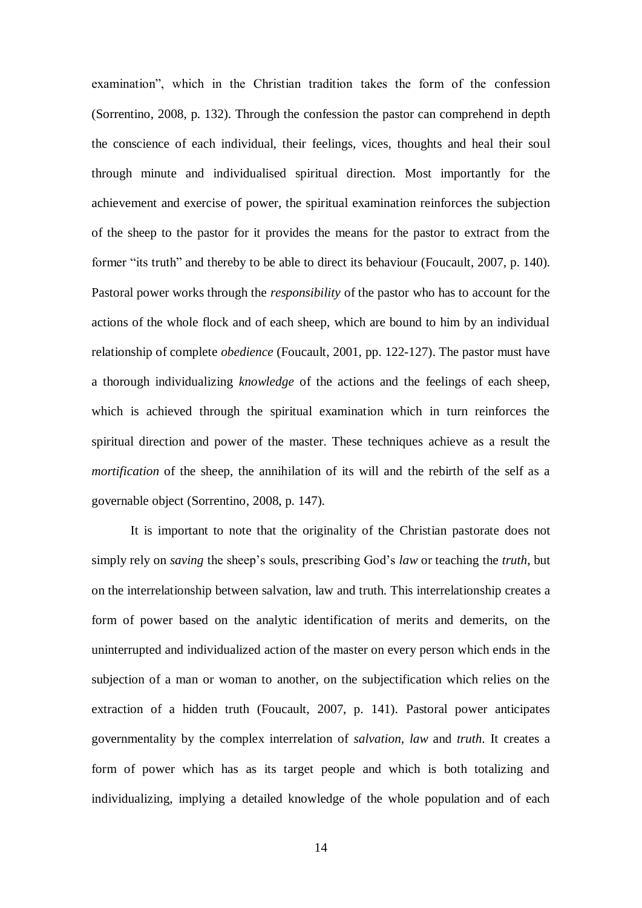examination", which in the Christian tradition takes the form of the confession (Sorrentino, 2008, p. 132). Through the confession the pastor can comprehend in depth the conscience of each individual, their feelings, vices, thoughts and heal their soul through minute and individualised spiritual direction. Most importantly for the achievement and exercise of power, the spiritual examination reinforces the subjection of the sheep to the pastor for it provides the means for the pastor to extract from the former "its truth" and thereby to be able to direct its behaviour (Foucault, 2007, p. 140). Pastoral power works through the *responsibility* of the pastor who has to account for the actions of the whole flock and of each sheep, which are bound to him by an individual relationship of complete *obedience* (Foucault, 2001, pp. 122-127). The pastor must have a thorough individualizing *knowledge* of the actions and the feelings of each sheep, which is achieved through the spiritual examination which in turn reinforces the spiritual direction and power of the master. These techniques achieve as a result the *mortification* of the sheep, the annihilation of its will and the rebirth of the self as a governable object (Sorrentino, 2008, p. 147).

It is important to note that the originality of the Christian pastorate does not simply rely on *saving* the sheep's souls, prescribing God's *law* or teaching the *truth*, but on the interrelationship between salvation, law and truth. This interrelationship creates a form of power based on the analytic identification of merits and demerits, on the uninterrupted and individualized action of the master on every person which ends in the subjection of a man or woman to another, on the subjectification which relies on the extraction of a hidden truth (Foucault, 2007, p. 141). Pastoral power anticipates governmentality by the complex interrelation of *salvation, law* and *truth*. It creates a form of power which has as its target people and which is both totalizing and individualizing, implying a detailed knowledge of the whole population and of each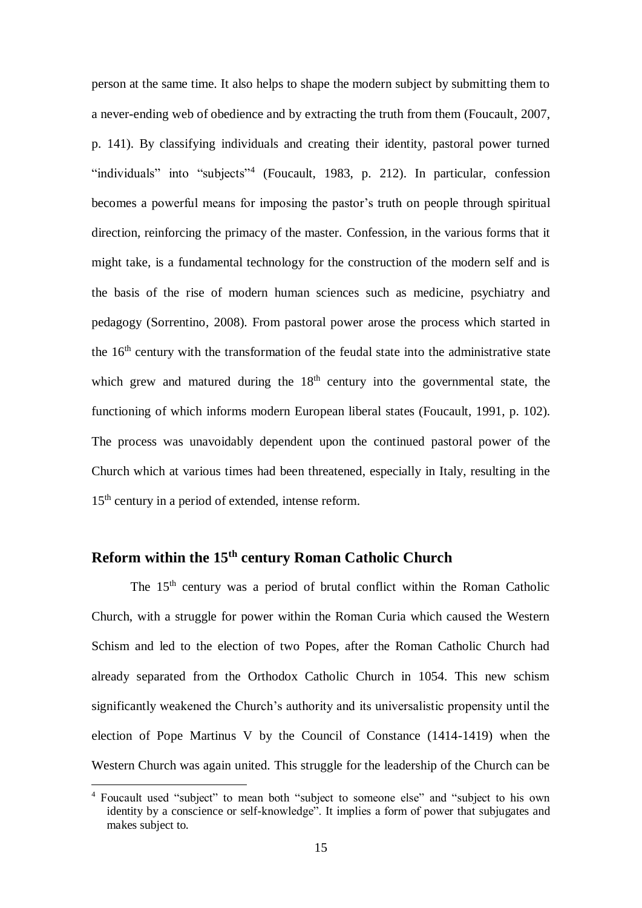person at the same time. It also helps to shape the modern subject by submitting them to a never-ending web of obedience and by extracting the truth from them (Foucault, 2007, p. 141). By classifying individuals and creating their identity, pastoral power turned "individuals" into "subjects"<sup>4</sup> (Foucault, 1983, p. 212). In particular, confession becomes a powerful means for imposing the pastor's truth on people through spiritual direction, reinforcing the primacy of the master. Confession, in the various forms that it might take, is a fundamental technology for the construction of the modern self and is the basis of the rise of modern human sciences such as medicine, psychiatry and pedagogy (Sorrentino, 2008). From pastoral power arose the process which started in the  $16<sup>th</sup>$  century with the transformation of the feudal state into the administrative state which grew and matured during the  $18<sup>th</sup>$  century into the governmental state, the functioning of which informs modern European liberal states (Foucault, 1991, p. 102). The process was unavoidably dependent upon the continued pastoral power of the Church which at various times had been threatened, especially in Italy, resulting in the 15<sup>th</sup> century in a period of extended, intense reform.

## **Reform within the 15th century Roman Catholic Church**

 $\overline{a}$ 

The  $15<sup>th</sup>$  century was a period of brutal conflict within the Roman Catholic Church, with a struggle for power within the Roman Curia which caused the Western Schism and led to the election of two Popes, after the Roman Catholic Church had already separated from the Orthodox Catholic Church in 1054. This new schism significantly weakened the Church's authority and its universalistic propensity until the election of Pope Martinus V by the Council of Constance (1414-1419) when the Western Church was again united. This struggle for the leadership of the Church can be

<sup>4</sup> Foucault used "subject" to mean both "subject to someone else" and "subject to his own identity by a conscience or self-knowledge". It implies a form of power that subjugates and makes subject to.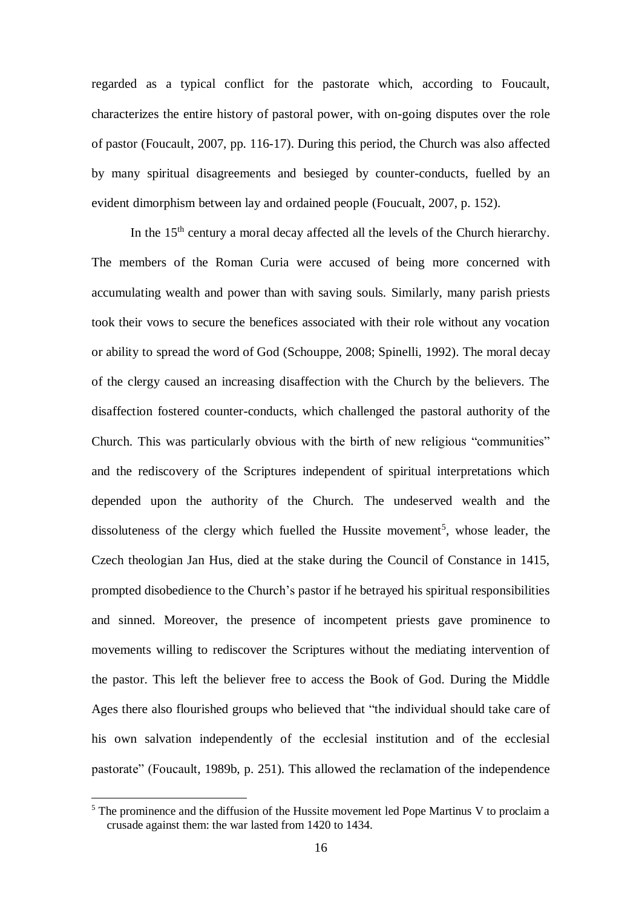regarded as a typical conflict for the pastorate which, according to Foucault, characterizes the entire history of pastoral power, with on-going disputes over the role of pastor (Foucault, 2007, pp. 116-17). During this period, the Church was also affected by many spiritual disagreements and besieged by counter-conducts, fuelled by an evident dimorphism between lay and ordained people (Foucualt, 2007, p. 152).

In the  $15<sup>th</sup>$  century a moral decay affected all the levels of the Church hierarchy. The members of the Roman Curia were accused of being more concerned with accumulating wealth and power than with saving souls. Similarly, many parish priests took their vows to secure the benefices associated with their role without any vocation or ability to spread the word of God (Schouppe, 2008; Spinelli, 1992). The moral decay of the clergy caused an increasing disaffection with the Church by the believers. The disaffection fostered counter-conducts, which challenged the pastoral authority of the Church. This was particularly obvious with the birth of new religious "communities" and the rediscovery of the Scriptures independent of spiritual interpretations which depended upon the authority of the Church. The undeserved wealth and the dissoluteness of the clergy which fuelled the Hussite movement<sup>5</sup>, whose leader, the Czech theologian Jan Hus, died at the stake during the Council of Constance in 1415, prompted disobedience to the Church's pastor if he betrayed his spiritual responsibilities and sinned. Moreover, the presence of incompetent priests gave prominence to movements willing to rediscover the Scriptures without the mediating intervention of the pastor. This left the believer free to access the Book of God. During the Middle Ages there also flourished groups who believed that "the individual should take care of his own salvation independently of the ecclesial institution and of the ecclesial pastorate" (Foucault, 1989b, p. 251). This allowed the reclamation of the independence

 $<sup>5</sup>$  The prominence and the diffusion of the Hussite movement led Pope Martinus V to proclaim a</sup> crusade against them: the war lasted from 1420 to 1434.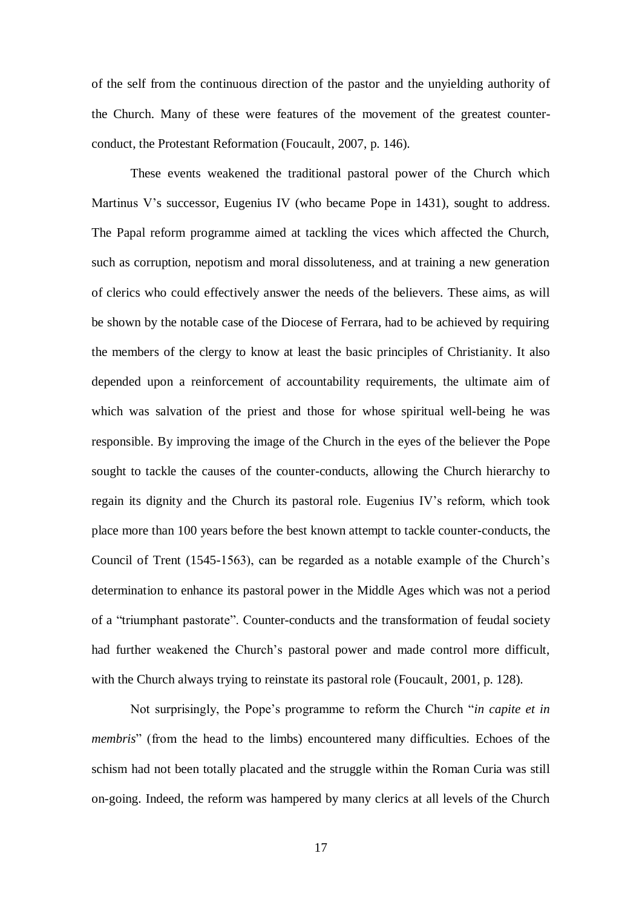of the self from the continuous direction of the pastor and the unyielding authority of the Church. Many of these were features of the movement of the greatest counterconduct, the Protestant Reformation (Foucault, 2007, p. 146).

These events weakened the traditional pastoral power of the Church which Martinus V's successor, Eugenius IV (who became Pope in 1431), sought to address. The Papal reform programme aimed at tackling the vices which affected the Church, such as corruption, nepotism and moral dissoluteness, and at training a new generation of clerics who could effectively answer the needs of the believers. These aims, as will be shown by the notable case of the Diocese of Ferrara, had to be achieved by requiring the members of the clergy to know at least the basic principles of Christianity. It also depended upon a reinforcement of accountability requirements, the ultimate aim of which was salvation of the priest and those for whose spiritual well-being he was responsible. By improving the image of the Church in the eyes of the believer the Pope sought to tackle the causes of the counter-conducts, allowing the Church hierarchy to regain its dignity and the Church its pastoral role. Eugenius IV's reform, which took place more than 100 years before the best known attempt to tackle counter-conducts, the Council of Trent (1545-1563), can be regarded as a notable example of the Church's determination to enhance its pastoral power in the Middle Ages which was not a period of a "triumphant pastorate". Counter-conducts and the transformation of feudal society had further weakened the Church's pastoral power and made control more difficult, with the Church always trying to reinstate its pastoral role (Foucault, 2001, p. 128).

Not surprisingly, the Pope's programme to reform the Church "*in capite et in membris*" (from the head to the limbs) encountered many difficulties. Echoes of the schism had not been totally placated and the struggle within the Roman Curia was still on-going. Indeed, the reform was hampered by many clerics at all levels of the Church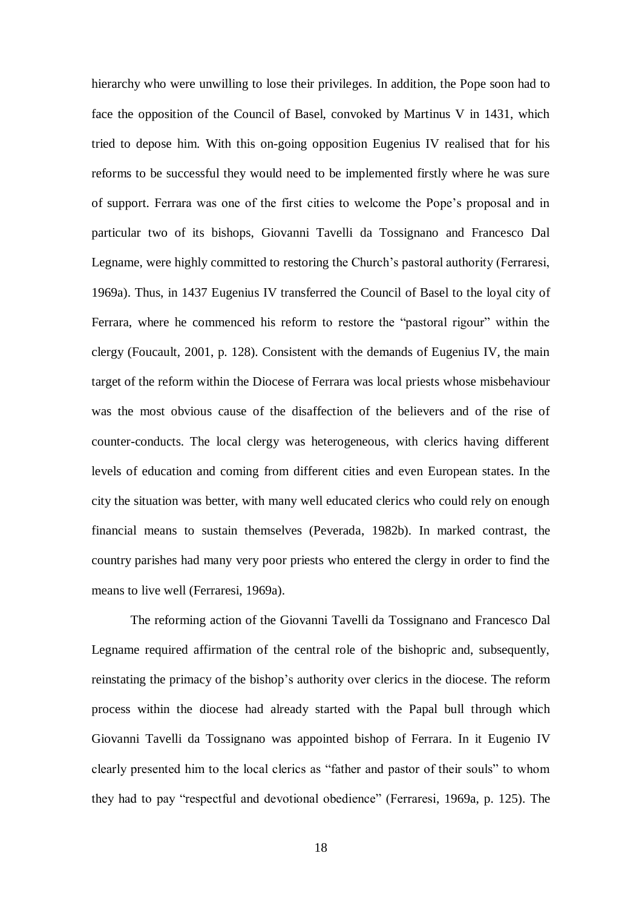hierarchy who were unwilling to lose their privileges. In addition, the Pope soon had to face the opposition of the Council of Basel, convoked by Martinus V in 1431, which tried to depose him. With this on-going opposition Eugenius IV realised that for his reforms to be successful they would need to be implemented firstly where he was sure of support. Ferrara was one of the first cities to welcome the Pope's proposal and in particular two of its bishops, Giovanni Tavelli da Tossignano and Francesco Dal Legname, were highly committed to restoring the Church's pastoral authority (Ferraresi, 1969a). Thus, in 1437 Eugenius IV transferred the Council of Basel to the loyal city of Ferrara, where he commenced his reform to restore the "pastoral rigour" within the clergy (Foucault, 2001, p. 128). Consistent with the demands of Eugenius IV, the main target of the reform within the Diocese of Ferrara was local priests whose misbehaviour was the most obvious cause of the disaffection of the believers and of the rise of counter-conducts. The local clergy was heterogeneous, with clerics having different levels of education and coming from different cities and even European states. In the city the situation was better, with many well educated clerics who could rely on enough financial means to sustain themselves (Peverada, 1982b). In marked contrast, the country parishes had many very poor priests who entered the clergy in order to find the means to live well (Ferraresi, 1969a).

The reforming action of the Giovanni Tavelli da Tossignano and Francesco Dal Legname required affirmation of the central role of the bishopric and, subsequently, reinstating the primacy of the bishop's authority over clerics in the diocese. The reform process within the diocese had already started with the Papal bull through which Giovanni Tavelli da Tossignano was appointed bishop of Ferrara. In it Eugenio IV clearly presented him to the local clerics as "father and pastor of their souls" to whom they had to pay "respectful and devotional obedience" (Ferraresi, 1969a, p. 125). The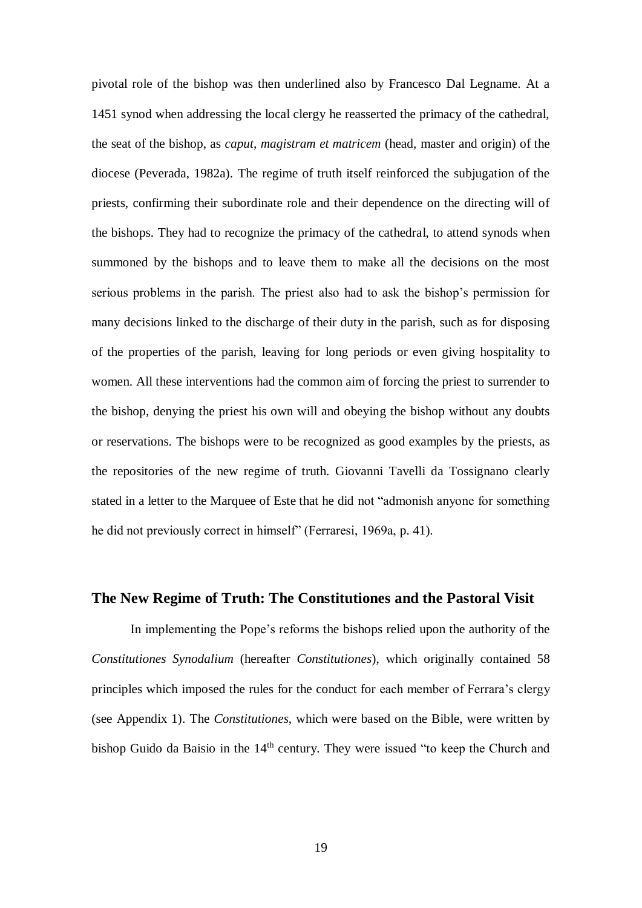pivotal role of the bishop was then underlined also by Francesco Dal Legname. At a 1451 synod when addressing the local clergy he reasserted the primacy of the cathedral, the seat of the bishop, as *caput*, *magistram et matricem* (head, master and origin) of the diocese (Peverada, 1982a). The regime of truth itself reinforced the subjugation of the priests, confirming their subordinate role and their dependence on the directing will of the bishops. They had to recognize the primacy of the cathedral, to attend synods when summoned by the bishops and to leave them to make all the decisions on the most serious problems in the parish. The priest also had to ask the bishop's permission for many decisions linked to the discharge of their duty in the parish, such as for disposing of the properties of the parish, leaving for long periods or even giving hospitality to women. All these interventions had the common aim of forcing the priest to surrender to the bishop, denying the priest his own will and obeying the bishop without any doubts or reservations. The bishops were to be recognized as good examples by the priests, as the repositories of the new regime of truth. Giovanni Tavelli da Tossignano clearly stated in a letter to the Marquee of Este that he did not "admonish anyone for something he did not previously correct in himself" (Ferraresi, 1969a, p. 41).

#### **The New Regime of Truth: The Constitutiones and the Pastoral Visit**

In implementing the Pope's reforms the bishops relied upon the authority of the *Constitutiones Synodalium* (hereafter *Constitutiones*), which originally contained 58 principles which imposed the rules for the conduct for each member of Ferrara's clergy (see Appendix 1). The *Constitutiones*, which were based on the Bible, were written by bishop Guido da Baisio in the 14<sup>th</sup> century. They were issued "to keep the Church and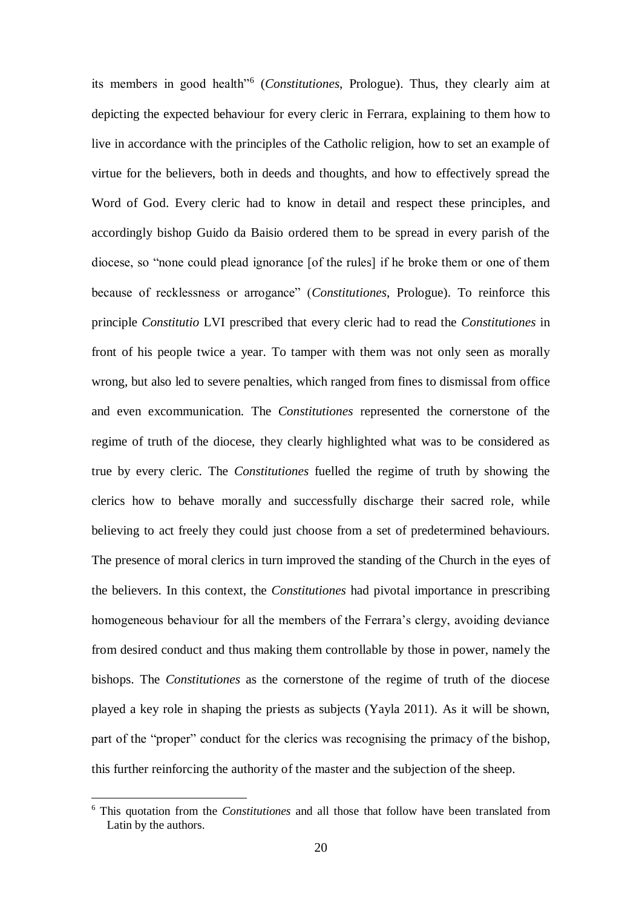its members in good health"<sup>6</sup> (*Constitutiones*, Prologue). Thus, they clearly aim at depicting the expected behaviour for every cleric in Ferrara, explaining to them how to live in accordance with the principles of the Catholic religion, how to set an example of virtue for the believers, both in deeds and thoughts, and how to effectively spread the Word of God. Every cleric had to know in detail and respect these principles, and accordingly bishop Guido da Baisio ordered them to be spread in every parish of the diocese, so "none could plead ignorance [of the rules] if he broke them or one of them because of recklessness or arrogance" (*Constitutiones*, Prologue). To reinforce this principle *Constitutio* LVI prescribed that every cleric had to read the *Constitutiones* in front of his people twice a year. To tamper with them was not only seen as morally wrong, but also led to severe penalties, which ranged from fines to dismissal from office and even excommunication. The *Constitutiones* represented the cornerstone of the regime of truth of the diocese, they clearly highlighted what was to be considered as true by every cleric. The *Constitutiones* fuelled the regime of truth by showing the clerics how to behave morally and successfully discharge their sacred role, while believing to act freely they could just choose from a set of predetermined behaviours. The presence of moral clerics in turn improved the standing of the Church in the eyes of the believers. In this context, the *Constitutiones* had pivotal importance in prescribing homogeneous behaviour for all the members of the Ferrara's clergy, avoiding deviance from desired conduct and thus making them controllable by those in power, namely the bishops. The *Constitutiones* as the cornerstone of the regime of truth of the diocese played a key role in shaping the priests as subjects (Yayla 2011). As it will be shown, part of the "proper" conduct for the clerics was recognising the primacy of the bishop, this further reinforcing the authority of the master and the subjection of the sheep.

<sup>6</sup> This quotation from the *Constitutiones* and all those that follow have been translated from Latin by the authors.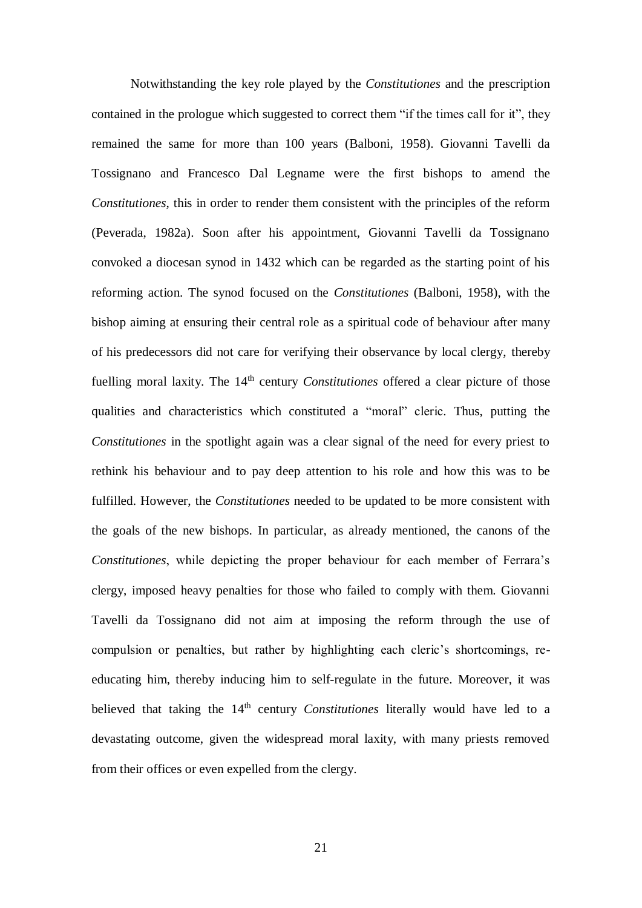Notwithstanding the key role played by the *Constitutiones* and the prescription contained in the prologue which suggested to correct them "if the times call for it", they remained the same for more than 100 years (Balboni, 1958). Giovanni Tavelli da Tossignano and Francesco Dal Legname were the first bishops to amend the *Constitutiones*, this in order to render them consistent with the principles of the reform (Peverada, 1982a). Soon after his appointment, Giovanni Tavelli da Tossignano convoked a diocesan synod in 1432 which can be regarded as the starting point of his reforming action. The synod focused on the *Constitutiones* (Balboni, 1958), with the bishop aiming at ensuring their central role as a spiritual code of behaviour after many of his predecessors did not care for verifying their observance by local clergy, thereby fuelling moral laxity. The 14<sup>th</sup> century *Constitutiones* offered a clear picture of those qualities and characteristics which constituted a "moral" cleric. Thus, putting the *Constitutiones* in the spotlight again was a clear signal of the need for every priest to rethink his behaviour and to pay deep attention to his role and how this was to be fulfilled. However, the *Constitutiones* needed to be updated to be more consistent with the goals of the new bishops. In particular, as already mentioned, the canons of the *Constitutiones*, while depicting the proper behaviour for each member of Ferrara's clergy, imposed heavy penalties for those who failed to comply with them. Giovanni Tavelli da Tossignano did not aim at imposing the reform through the use of compulsion or penalties, but rather by highlighting each cleric's shortcomings, reeducating him, thereby inducing him to self-regulate in the future. Moreover, it was believed that taking the 14<sup>th</sup> century *Constitutiones* literally would have led to a devastating outcome, given the widespread moral laxity, with many priests removed from their offices or even expelled from the clergy.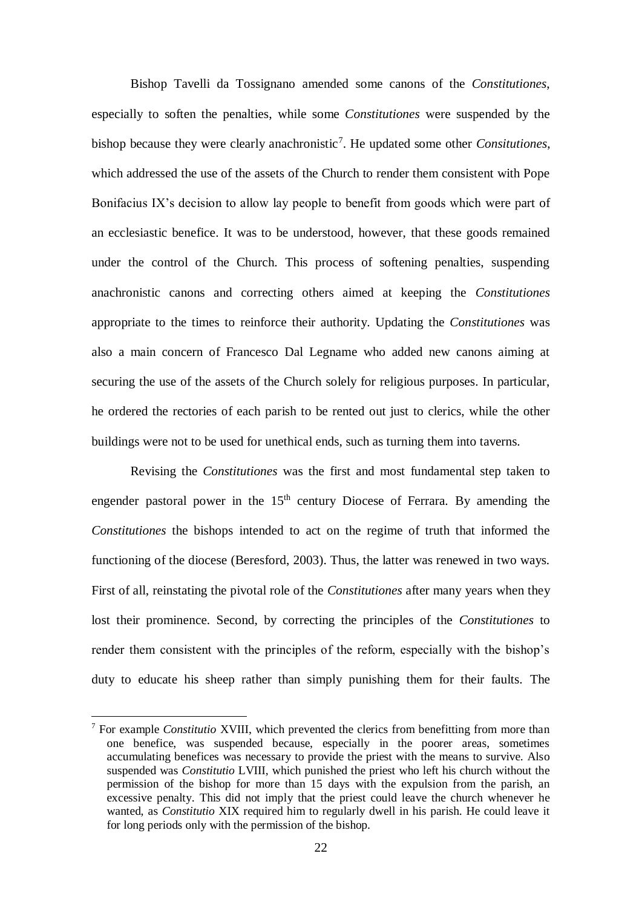Bishop Tavelli da Tossignano amended some canons of the *Constitutiones*, especially to soften the penalties, while some *Constitutiones* were suspended by the bishop because they were clearly anachronistic<sup>7</sup>. He updated some other *Consitutiones*, which addressed the use of the assets of the Church to render them consistent with Pope Bonifacius IX's decision to allow lay people to benefit from goods which were part of an ecclesiastic benefice. It was to be understood, however, that these goods remained under the control of the Church. This process of softening penalties, suspending anachronistic canons and correcting others aimed at keeping the *Constitutiones* appropriate to the times to reinforce their authority. Updating the *Constitutiones* was also a main concern of Francesco Dal Legname who added new canons aiming at securing the use of the assets of the Church solely for religious purposes. In particular, he ordered the rectories of each parish to be rented out just to clerics, while the other buildings were not to be used for unethical ends, such as turning them into taverns.

Revising the *Constitutiones* was the first and most fundamental step taken to engender pastoral power in the  $15<sup>th</sup>$  century Diocese of Ferrara. By amending the *Constitutiones* the bishops intended to act on the regime of truth that informed the functioning of the diocese (Beresford, 2003). Thus, the latter was renewed in two ways. First of all, reinstating the pivotal role of the *Constitutiones* after many years when they lost their prominence. Second, by correcting the principles of the *Constitutiones* to render them consistent with the principles of the reform, especially with the bishop's duty to educate his sheep rather than simply punishing them for their faults. The

<sup>7</sup> For example *Constitutio* XVIII, which prevented the clerics from benefitting from more than one benefice, was suspended because, especially in the poorer areas, sometimes accumulating benefices was necessary to provide the priest with the means to survive. Also suspended was *Constitutio* LVIII, which punished the priest who left his church without the permission of the bishop for more than 15 days with the expulsion from the parish, an excessive penalty. This did not imply that the priest could leave the church whenever he wanted, as *Constitutio* XIX required him to regularly dwell in his parish. He could leave it for long periods only with the permission of the bishop.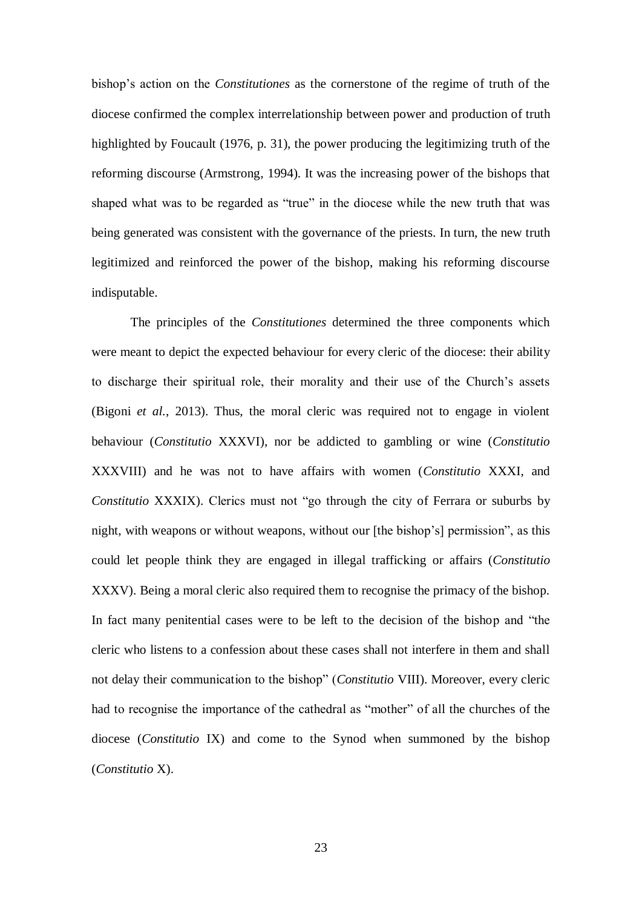bishop's action on the *Constitutiones* as the cornerstone of the regime of truth of the diocese confirmed the complex interrelationship between power and production of truth highlighted by Foucault (1976, p. 31), the power producing the legitimizing truth of the reforming discourse (Armstrong, 1994). It was the increasing power of the bishops that shaped what was to be regarded as "true" in the diocese while the new truth that was being generated was consistent with the governance of the priests. In turn, the new truth legitimized and reinforced the power of the bishop, making his reforming discourse indisputable.

The principles of the *Constitutiones* determined the three components which were meant to depict the expected behaviour for every cleric of the diocese: their ability to discharge their spiritual role, their morality and their use of the Church's assets (Bigoni *et al.*, 2013). Thus, the moral cleric was required not to engage in violent behaviour (*Constitutio* XXXVI), nor be addicted to gambling or wine (*Constitutio* XXXVIII) and he was not to have affairs with women (*Constitutio* XXXI, and *Constitutio* XXXIX). Clerics must not "go through the city of Ferrara or suburbs by night, with weapons or without weapons, without our [the bishop's] permission", as this could let people think they are engaged in illegal trafficking or affairs (*Constitutio* XXXV). Being a moral cleric also required them to recognise the primacy of the bishop. In fact many penitential cases were to be left to the decision of the bishop and "the cleric who listens to a confession about these cases shall not interfere in them and shall not delay their communication to the bishop" (*Constitutio* VIII). Moreover, every cleric had to recognise the importance of the cathedral as "mother" of all the churches of the diocese (*Constitutio* IX) and come to the Synod when summoned by the bishop (*Constitutio* X).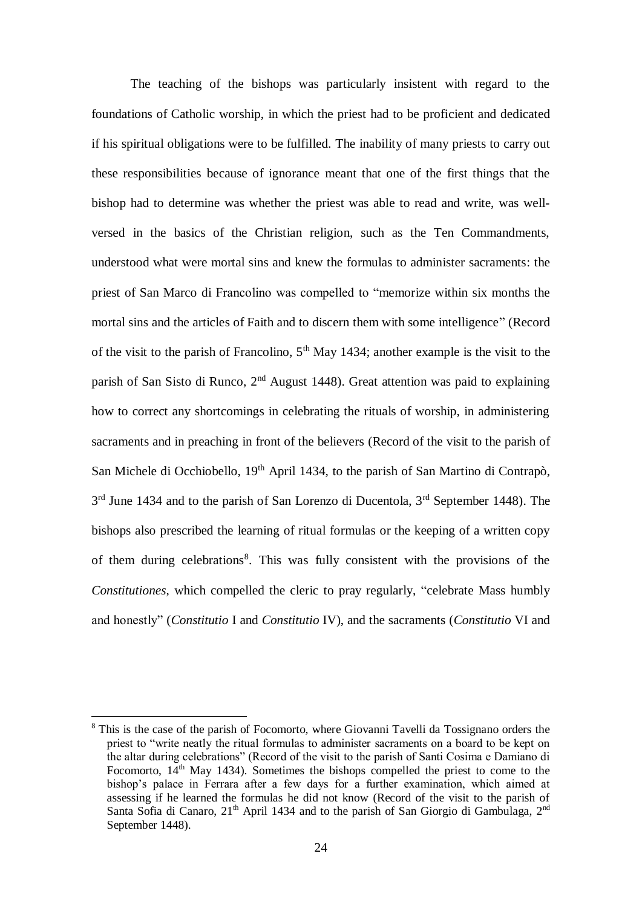The teaching of the bishops was particularly insistent with regard to the foundations of Catholic worship, in which the priest had to be proficient and dedicated if his spiritual obligations were to be fulfilled. The inability of many priests to carry out these responsibilities because of ignorance meant that one of the first things that the bishop had to determine was whether the priest was able to read and write, was wellversed in the basics of the Christian religion, such as the Ten Commandments, understood what were mortal sins and knew the formulas to administer sacraments: the priest of San Marco di Francolino was compelled to "memorize within six months the mortal sins and the articles of Faith and to discern them with some intelligence" (Record of the visit to the parish of Francolino,  $5<sup>th</sup>$  May 1434; another example is the visit to the parish of San Sisto di Runco,  $2<sup>nd</sup>$  August 1448). Great attention was paid to explaining how to correct any shortcomings in celebrating the rituals of worship, in administering sacraments and in preaching in front of the believers (Record of the visit to the parish of San Michele di Occhiobello, 19<sup>th</sup> April 1434, to the parish of San Martino di Contrapò,  $3<sup>rd</sup>$  June 1434 and to the parish of San Lorenzo di Ducentola,  $3<sup>rd</sup>$  September 1448). The bishops also prescribed the learning of ritual formulas or the keeping of a written copy of them during celebrations<sup>8</sup>. This was fully consistent with the provisions of the *Constitutiones*, which compelled the cleric to pray regularly, "celebrate Mass humbly and honestly" (*Constitutio* I and *Constitutio* IV), and the sacraments (*Constitutio* VI and

<sup>&</sup>lt;sup>8</sup> This is the case of the parish of Focomorto, where Giovanni Tavelli da Tossignano orders the priest to "write neatly the ritual formulas to administer sacraments on a board to be kept on the altar during celebrations" (Record of the visit to the parish of Santi Cosima e Damiano di Focomorto,  $14<sup>th</sup>$  May 1434). Sometimes the bishops compelled the priest to come to the bishop's palace in Ferrara after a few days for a further examination, which aimed at assessing if he learned the formulas he did not know (Record of the visit to the parish of Santa Sofia di Canaro, 21<sup>th</sup> April 1434 and to the parish of San Giorgio di Gambulaga, 2<sup>nd</sup> September 1448).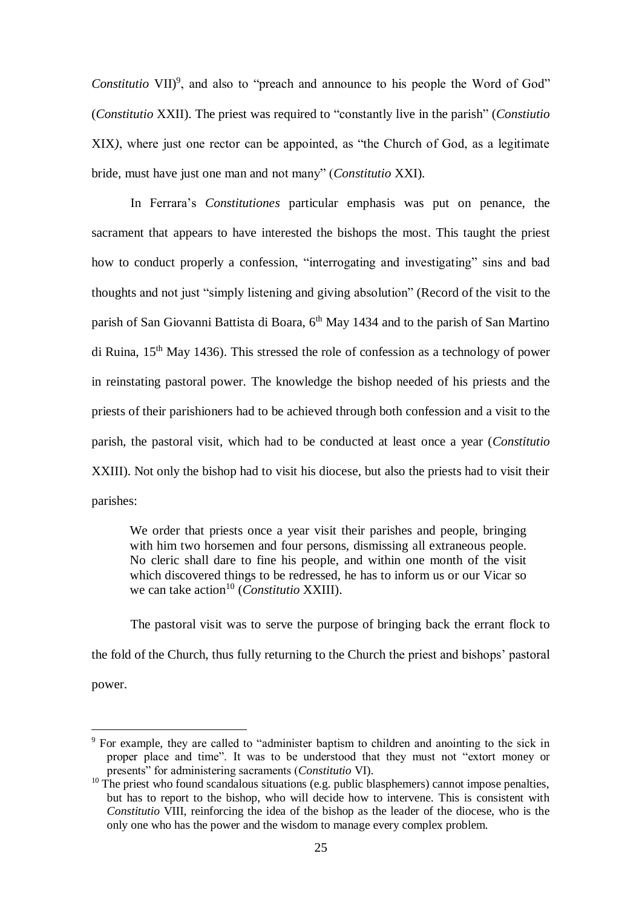*Constitutio* VII)<sup>9</sup>, and also to "preach and announce to his people the Word of God" (*Constitutio* XXII). The priest was required to "constantly live in the parish" (*Constiutio* XIX*)*, where just one rector can be appointed, as "the Church of God, as a legitimate bride, must have just one man and not many" (*Constitutio* XXI).

In Ferrara's *Constitutiones* particular emphasis was put on penance, the sacrament that appears to have interested the bishops the most. This taught the priest how to conduct properly a confession, "interrogating and investigating" sins and bad thoughts and not just "simply listening and giving absolution" (Record of the visit to the parish of San Giovanni Battista di Boara,  $6<sup>th</sup>$  May 1434 and to the parish of San Martino di Ruina, 15<sup>th</sup> May 1436). This stressed the role of confession as a technology of power in reinstating pastoral power. The knowledge the bishop needed of his priests and the priests of their parishioners had to be achieved through both confession and a visit to the parish, the pastoral visit, which had to be conducted at least once a year (*Constitutio* XXIII). Not only the bishop had to visit his diocese, but also the priests had to visit their parishes:

We order that priests once a year visit their parishes and people, bringing with him two horsemen and four persons, dismissing all extraneous people. No cleric shall dare to fine his people, and within one month of the visit which discovered things to be redressed, he has to inform us or our Vicar so we can take action<sup>10</sup> (*Constitutio* XXIII).

The pastoral visit was to serve the purpose of bringing back the errant flock to the fold of the Church, thus fully returning to the Church the priest and bishops' pastoral power.

<sup>&</sup>lt;sup>9</sup> For example, they are called to "administer baptism to children and anointing to the sick in proper place and time". It was to be understood that they must not "extort money or presents" for administering sacraments (*Constitutio* VI).

 $10$  The priest who found scandalous situations (e.g. public blasphemers) cannot impose penalties, but has to report to the bishop, who will decide how to intervene. This is consistent with *Constitutio* VIII, reinforcing the idea of the bishop as the leader of the diocese, who is the only one who has the power and the wisdom to manage every complex problem.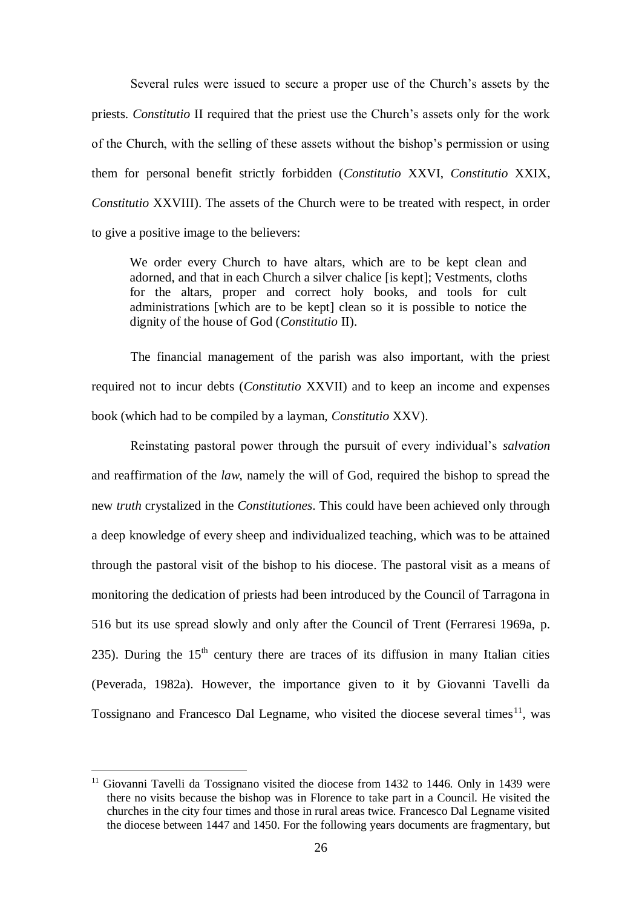Several rules were issued to secure a proper use of the Church's assets by the priests. *Constitutio* II required that the priest use the Church's assets only for the work of the Church, with the selling of these assets without the bishop's permission or using them for personal benefit strictly forbidden (*Constitutio* XXVI, *Constitutio* XXIX, *Constitutio* XXVIII). The assets of the Church were to be treated with respect, in order to give a positive image to the believers:

We order every Church to have altars, which are to be kept clean and adorned, and that in each Church a silver chalice [is kept]; Vestments, cloths for the altars, proper and correct holy books, and tools for cult administrations [which are to be kept] clean so it is possible to notice the dignity of the house of God (*Constitutio* II).

The financial management of the parish was also important, with the priest required not to incur debts (*Constitutio* XXVII) and to keep an income and expenses book (which had to be compiled by a layman, *Constitutio* XXV).

Reinstating pastoral power through the pursuit of every individual's *salvation* and reaffirmation of the *law*, namely the will of God, required the bishop to spread the new *truth* crystalized in the *Constitutiones*. This could have been achieved only through a deep knowledge of every sheep and individualized teaching, which was to be attained through the pastoral visit of the bishop to his diocese. The pastoral visit as a means of monitoring the dedication of priests had been introduced by the Council of Tarragona in 516 but its use spread slowly and only after the Council of Trent (Ferraresi 1969a, p. 235). During the  $15<sup>th</sup>$  century there are traces of its diffusion in many Italian cities (Peverada, 1982a). However, the importance given to it by Giovanni Tavelli da Tossignano and Francesco Dal Legname, who visited the diocese several times<sup>11</sup>, was

 $11$  Giovanni Tavelli da Tossignano visited the diocese from 1432 to 1446. Only in 1439 were there no visits because the bishop was in Florence to take part in a Council. He visited the churches in the city four times and those in rural areas twice. Francesco Dal Legname visited the diocese between 1447 and 1450. For the following years documents are fragmentary, but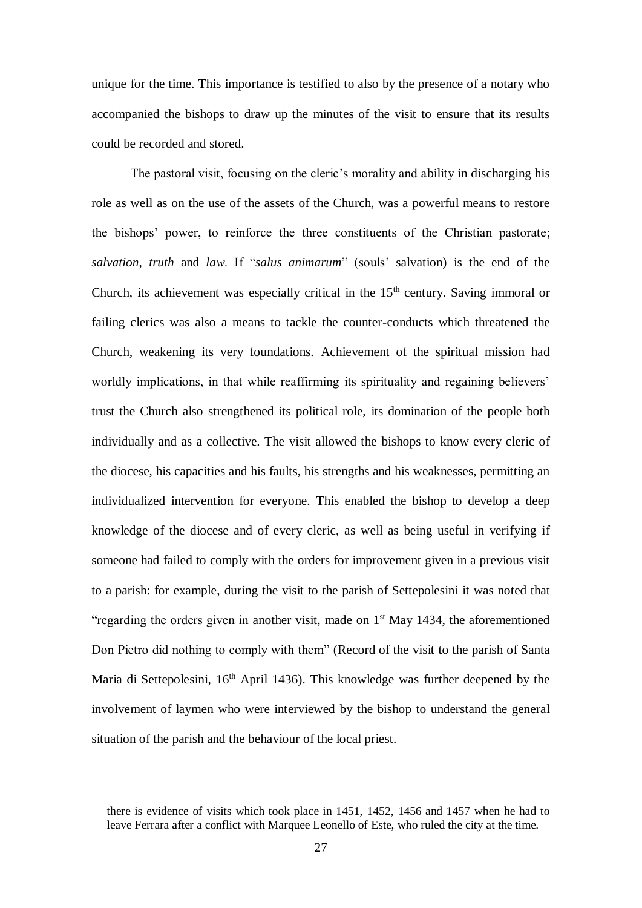unique for the time. This importance is testified to also by the presence of a notary who accompanied the bishops to draw up the minutes of the visit to ensure that its results could be recorded and stored.

The pastoral visit, focusing on the cleric's morality and ability in discharging his role as well as on the use of the assets of the Church, was a powerful means to restore the bishops' power, to reinforce the three constituents of the Christian pastorate; *salvation*, *truth* and *law*. If "*salus animarum*" (souls' salvation) is the end of the Church, its achievement was especially critical in the  $15<sup>th</sup>$  century. Saving immoral or failing clerics was also a means to tackle the counter-conducts which threatened the Church, weakening its very foundations. Achievement of the spiritual mission had worldly implications, in that while reaffirming its spirituality and regaining believers' trust the Church also strengthened its political role, its domination of the people both individually and as a collective. The visit allowed the bishops to know every cleric of the diocese, his capacities and his faults, his strengths and his weaknesses, permitting an individualized intervention for everyone. This enabled the bishop to develop a deep knowledge of the diocese and of every cleric, as well as being useful in verifying if someone had failed to comply with the orders for improvement given in a previous visit to a parish: for example, during the visit to the parish of Settepolesini it was noted that "regarding the orders given in another visit, made on  $1<sup>st</sup>$  May 1434, the aforementioned Don Pietro did nothing to comply with them" (Record of the visit to the parish of Santa Maria di Settepolesini,  $16<sup>th</sup>$  April 1436). This knowledge was further deepened by the involvement of laymen who were interviewed by the bishop to understand the general situation of the parish and the behaviour of the local priest.

there is evidence of visits which took place in 1451, 1452, 1456 and 1457 when he had to leave Ferrara after a conflict with Marquee Leonello of Este, who ruled the city at the time.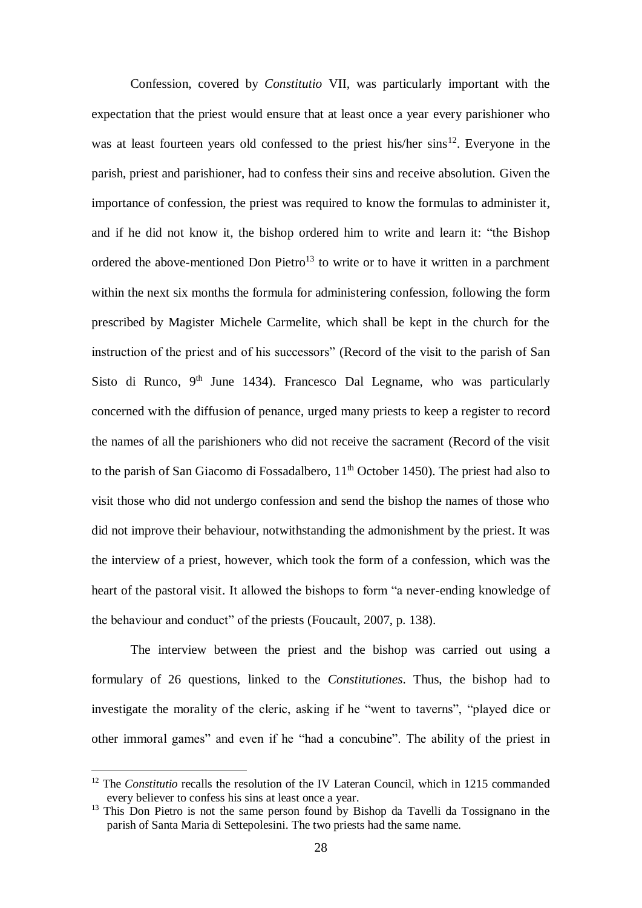Confession, covered by *Constitutio* VII*,* was particularly important with the expectation that the priest would ensure that at least once a year every parishioner who was at least fourteen years old confessed to the priest his/her  $\sinh^{12}$ . Everyone in the parish, priest and parishioner, had to confess their sins and receive absolution. Given the importance of confession, the priest was required to know the formulas to administer it, and if he did not know it, the bishop ordered him to write and learn it: "the Bishop ordered the above-mentioned Don Pietro<sup>13</sup> to write or to have it written in a parchment within the next six months the formula for administering confession, following the form prescribed by Magister Michele Carmelite, which shall be kept in the church for the instruction of the priest and of his successors" (Record of the visit to the parish of San Sisto di Runco,  $9<sup>th</sup>$  June 1434). Francesco Dal Legname, who was particularly concerned with the diffusion of penance, urged many priests to keep a register to record the names of all the parishioners who did not receive the sacrament (Record of the visit to the parish of San Giacomo di Fossadalbero, 11<sup>th</sup> October 1450). The priest had also to visit those who did not undergo confession and send the bishop the names of those who did not improve their behaviour, notwithstanding the admonishment by the priest. It was the interview of a priest, however, which took the form of a confession, which was the heart of the pastoral visit. It allowed the bishops to form "a never-ending knowledge of the behaviour and conduct" of the priests (Foucault, 2007, p. 138).

The interview between the priest and the bishop was carried out using a formulary of 26 questions, linked to the *Constitutiones*. Thus, the bishop had to investigate the morality of the cleric, asking if he "went to taverns", "played dice or other immoral games" and even if he "had a concubine". The ability of the priest in

<sup>&</sup>lt;sup>12</sup> The *Constitutio* recalls the resolution of the IV Lateran Council, which in 1215 commanded every believer to confess his sins at least once a year.

 $13$  This Don Pietro is not the same person found by Bishop da Tavelli da Tossignano in the parish of Santa Maria di Settepolesini. The two priests had the same name.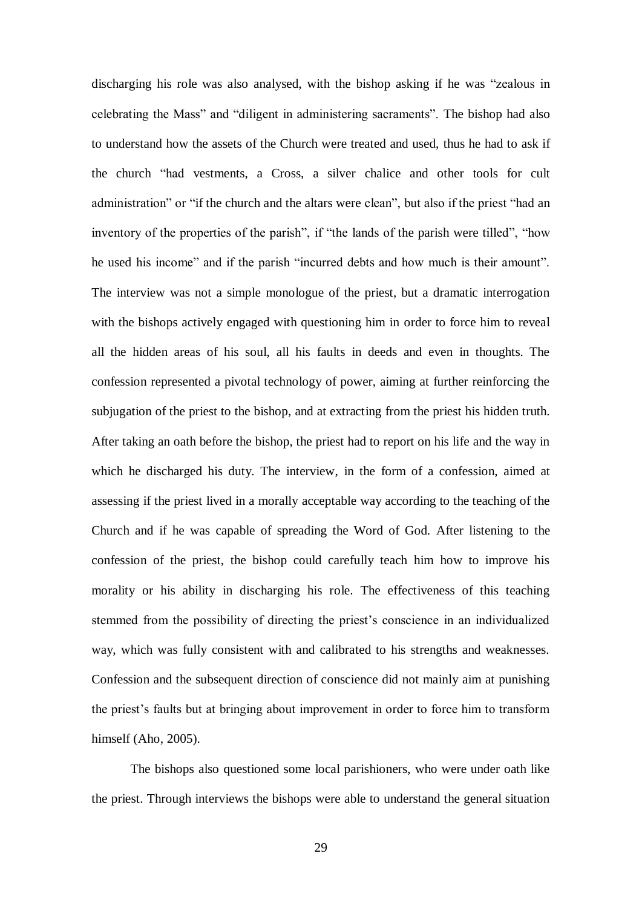discharging his role was also analysed, with the bishop asking if he was "zealous in celebrating the Mass" and "diligent in administering sacraments". The bishop had also to understand how the assets of the Church were treated and used, thus he had to ask if the church "had vestments, a Cross, a silver chalice and other tools for cult administration" or "if the church and the altars were clean", but also if the priest "had an inventory of the properties of the parish", if "the lands of the parish were tilled", "how he used his income" and if the parish "incurred debts and how much is their amount". The interview was not a simple monologue of the priest, but a dramatic interrogation with the bishops actively engaged with questioning him in order to force him to reveal all the hidden areas of his soul, all his faults in deeds and even in thoughts. The confession represented a pivotal technology of power, aiming at further reinforcing the subjugation of the priest to the bishop, and at extracting from the priest his hidden truth. After taking an oath before the bishop, the priest had to report on his life and the way in which he discharged his duty. The interview, in the form of a confession, aimed at assessing if the priest lived in a morally acceptable way according to the teaching of the Church and if he was capable of spreading the Word of God. After listening to the confession of the priest, the bishop could carefully teach him how to improve his morality or his ability in discharging his role. The effectiveness of this teaching stemmed from the possibility of directing the priest's conscience in an individualized way, which was fully consistent with and calibrated to his strengths and weaknesses. Confession and the subsequent direction of conscience did not mainly aim at punishing the priest's faults but at bringing about improvement in order to force him to transform himself (Aho, 2005).

The bishops also questioned some local parishioners, who were under oath like the priest. Through interviews the bishops were able to understand the general situation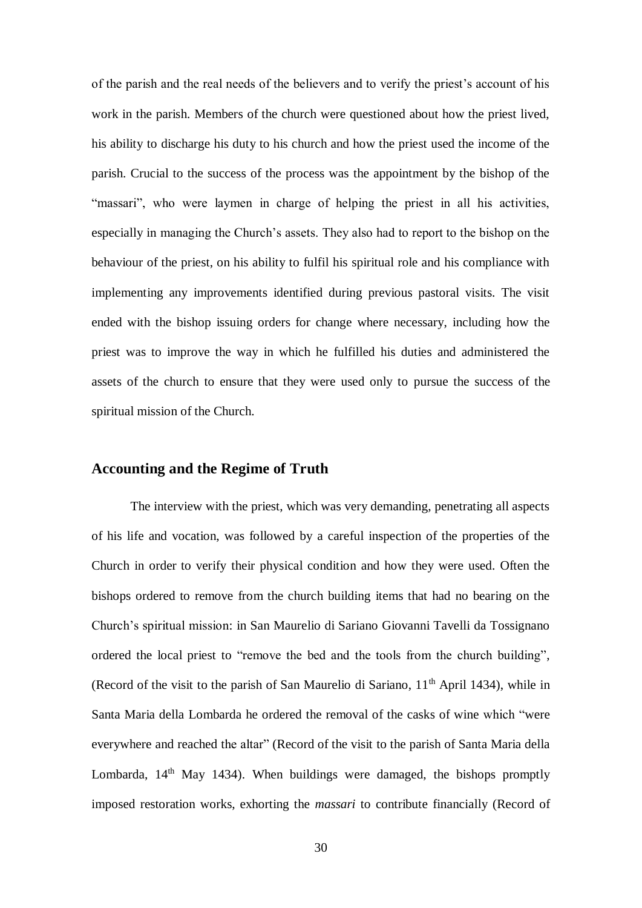of the parish and the real needs of the believers and to verify the priest's account of his work in the parish. Members of the church were questioned about how the priest lived, his ability to discharge his duty to his church and how the priest used the income of the parish. Crucial to the success of the process was the appointment by the bishop of the "massari", who were laymen in charge of helping the priest in all his activities, especially in managing the Church's assets. They also had to report to the bishop on the behaviour of the priest, on his ability to fulfil his spiritual role and his compliance with implementing any improvements identified during previous pastoral visits. The visit ended with the bishop issuing orders for change where necessary, including how the priest was to improve the way in which he fulfilled his duties and administered the assets of the church to ensure that they were used only to pursue the success of the spiritual mission of the Church.

#### **Accounting and the Regime of Truth**

The interview with the priest, which was very demanding, penetrating all aspects of his life and vocation, was followed by a careful inspection of the properties of the Church in order to verify their physical condition and how they were used. Often the bishops ordered to remove from the church building items that had no bearing on the Church's spiritual mission: in San Maurelio di Sariano Giovanni Tavelli da Tossignano ordered the local priest to "remove the bed and the tools from the church building", (Record of the visit to the parish of San Maurelio di Sariano,  $11<sup>th</sup>$  April 1434), while in Santa Maria della Lombarda he ordered the removal of the casks of wine which "were everywhere and reached the altar" (Record of the visit to the parish of Santa Maria della Lombarda,  $14<sup>th</sup>$  May 1434). When buildings were damaged, the bishops promptly imposed restoration works, exhorting the *massari* to contribute financially (Record of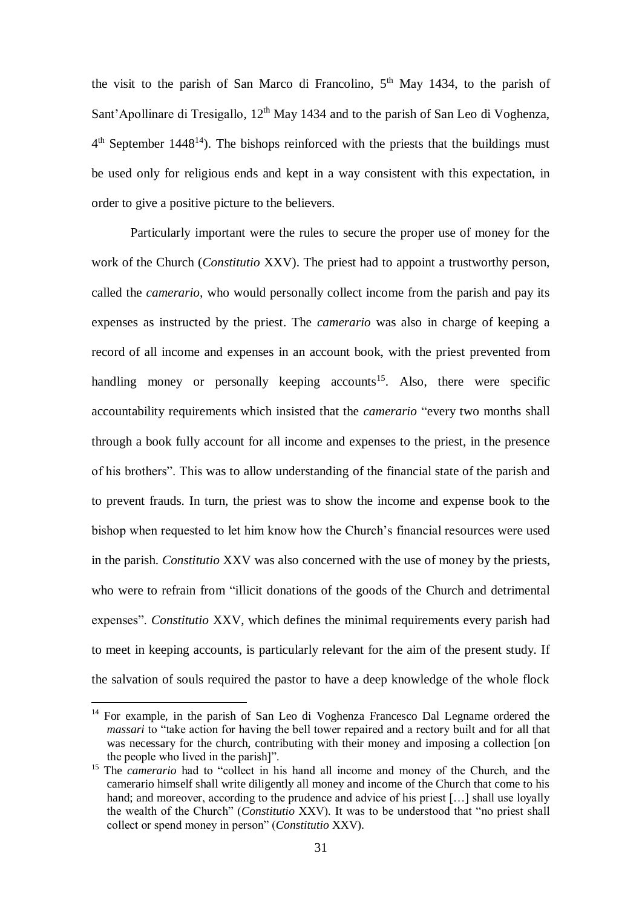the visit to the parish of San Marco di Francolino,  $5<sup>th</sup>$  May 1434, to the parish of Sant'Apollinare di Tresigallo, 12<sup>th</sup> May 1434 and to the parish of San Leo di Voghenza,  $4<sup>th</sup>$  September 1448<sup>14</sup>). The bishops reinforced with the priests that the buildings must be used only for religious ends and kept in a way consistent with this expectation, in order to give a positive picture to the believers.

Particularly important were the rules to secure the proper use of money for the work of the Church (*Constitutio* XXV). The priest had to appoint a trustworthy person, called the *camerario,* who would personally collect income from the parish and pay its expenses as instructed by the priest. The *camerario* was also in charge of keeping a record of all income and expenses in an account book, with the priest prevented from handling money or personally keeping accounts<sup>15</sup>. Also, there were specific accountability requirements which insisted that the *camerario* "every two months shall through a book fully account for all income and expenses to the priest, in the presence of his brothers". This was to allow understanding of the financial state of the parish and to prevent frauds. In turn, the priest was to show the income and expense book to the bishop when requested to let him know how the Church's financial resources were used in the parish. *Constitutio* XXV was also concerned with the use of money by the priests, who were to refrain from "illicit donations of the goods of the Church and detrimental expenses". *Constitutio* XXV, which defines the minimal requirements every parish had to meet in keeping accounts, is particularly relevant for the aim of the present study. If the salvation of souls required the pastor to have a deep knowledge of the whole flock

<sup>&</sup>lt;sup>14</sup> For example, in the parish of San Leo di Voghenza Francesco Dal Legname ordered the *massari* to "take action for having the bell tower repaired and a rectory built and for all that was necessary for the church, contributing with their money and imposing a collection [on the people who lived in the parish]".

<sup>&</sup>lt;sup>15</sup> The *camerario* had to "collect in his hand all income and money of the Church, and the camerario himself shall write diligently all money and income of the Church that come to his hand; and moreover, according to the prudence and advice of his priest [...] shall use loyally the wealth of the Church" (*Constitutio* XXV). It was to be understood that "no priest shall collect or spend money in person" (*Constitutio* XXV).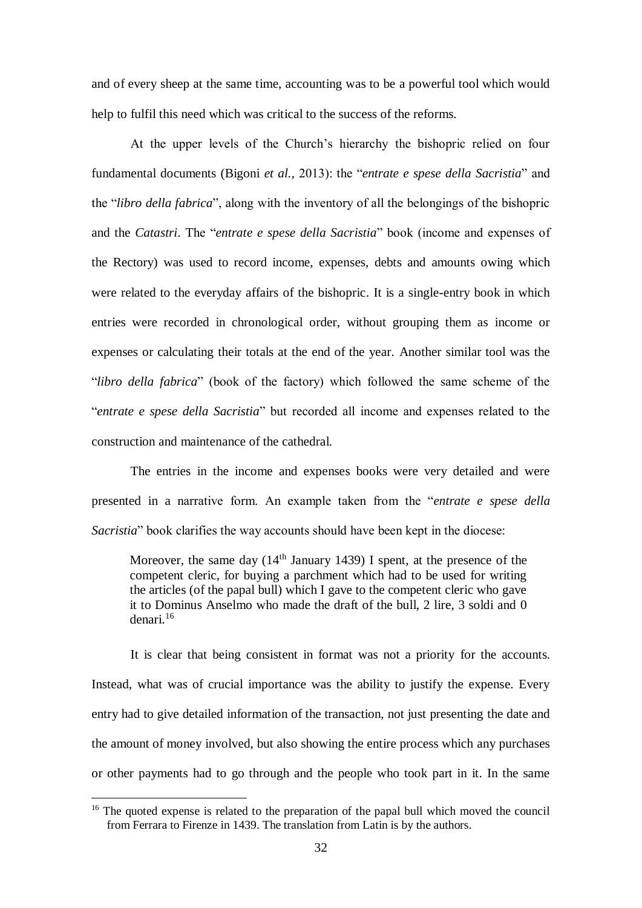and of every sheep at the same time, accounting was to be a powerful tool which would help to fulfil this need which was critical to the success of the reforms.

At the upper levels of the Church's hierarchy the bishopric relied on four fundamental documents (Bigoni *et al.*, 2013): the "*entrate e spese della Sacristia*" and the "*libro della fabrica*", along with the inventory of all the belongings of the bishopric and the *Catastri*. The "*entrate e spese della Sacristia*" book (income and expenses of the Rectory) was used to record income, expenses, debts and amounts owing which were related to the everyday affairs of the bishopric. It is a single-entry book in which entries were recorded in chronological order, without grouping them as income or expenses or calculating their totals at the end of the year. Another similar tool was the "*libro della fabrica*" (book of the factory) which followed the same scheme of the "*entrate e spese della Sacristia*" but recorded all income and expenses related to the construction and maintenance of the cathedral.

The entries in the income and expenses books were very detailed and were presented in a narrative form. An example taken from the "*entrate e spese della Sacristia*" book clarifies the way accounts should have been kept in the diocese:

Moreover, the same day  $(14<sup>th</sup>$  January 1439) I spent, at the presence of the competent cleric, for buying a parchment which had to be used for writing the articles (of the papal bull) which I gave to the competent cleric who gave it to Dominus Anselmo who made the draft of the bull, 2 lire, 3 soldi and 0 denari.<sup>16</sup>

It is clear that being consistent in format was not a priority for the accounts. Instead, what was of crucial importance was the ability to justify the expense. Every entry had to give detailed information of the transaction, not just presenting the date and the amount of money involved, but also showing the entire process which any purchases or other payments had to go through and the people who took part in it. In the same

<sup>&</sup>lt;sup>16</sup> The quoted expense is related to the preparation of the papal bull which moved the council from Ferrara to Firenze in 1439. The translation from Latin is by the authors.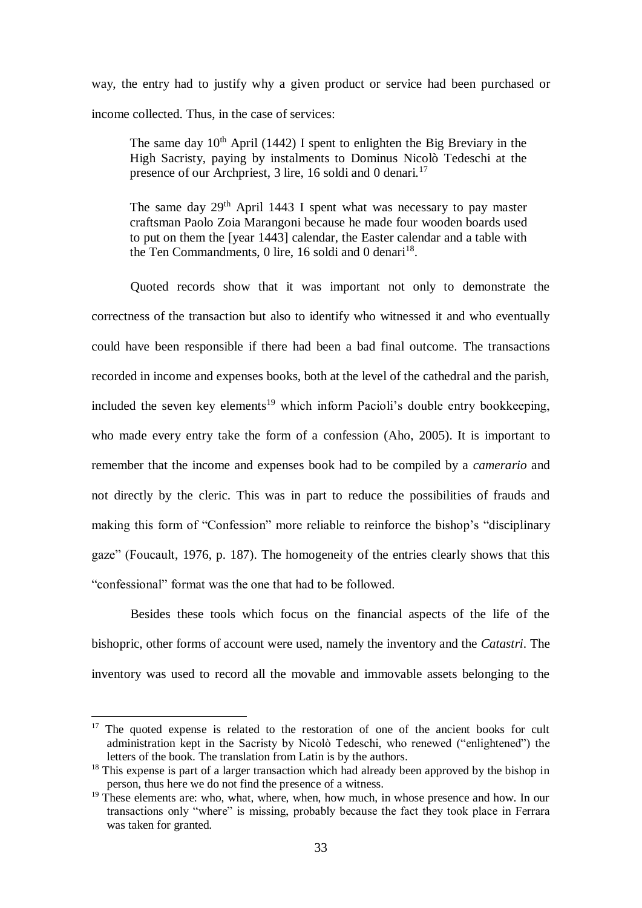way, the entry had to justify why a given product or service had been purchased or income collected. Thus, in the case of services:

The same day  $10<sup>th</sup>$  April (1442) I spent to enlighten the Big Breviary in the High Sacristy, paying by instalments to Dominus Nicolò Tedeschi at the presence of our Archpriest, 3 lire, 16 soldi and 0 denari.<sup>17</sup>

The same day  $29<sup>th</sup>$  April 1443 I spent what was necessary to pay master craftsman Paolo Zoia Marangoni because he made four wooden boards used to put on them the [year 1443] calendar, the Easter calendar and a table with the Ten Commandments, 0 lire, 16 soldi and 0 denari<sup>18</sup>.

Quoted records show that it was important not only to demonstrate the correctness of the transaction but also to identify who witnessed it and who eventually could have been responsible if there had been a bad final outcome. The transactions recorded in income and expenses books, both at the level of the cathedral and the parish, included the seven key elements<sup>19</sup> which inform Pacioli's double entry bookkeeping, who made every entry take the form of a confession (Aho, 2005). It is important to remember that the income and expenses book had to be compiled by a *camerario* and not directly by the cleric. This was in part to reduce the possibilities of frauds and making this form of "Confession" more reliable to reinforce the bishop's "disciplinary gaze" (Foucault, 1976, p. 187). The homogeneity of the entries clearly shows that this "confessional" format was the one that had to be followed.

Besides these tools which focus on the financial aspects of the life of the bishopric, other forms of account were used, namely the inventory and the *Catastri*. The inventory was used to record all the movable and immovable assets belonging to the

 $17$  The quoted expense is related to the restoration of one of the ancient books for cult administration kept in the Sacristy by Nicolò Tedeschi, who renewed ("enlightened") the letters of the book. The translation from Latin is by the authors.

 $18$  This expense is part of a larger transaction which had already been approved by the bishop in person, thus here we do not find the presence of a witness.

 $19$  These elements are: who, what, where, when, how much, in whose presence and how. In our transactions only "where" is missing, probably because the fact they took place in Ferrara was taken for granted.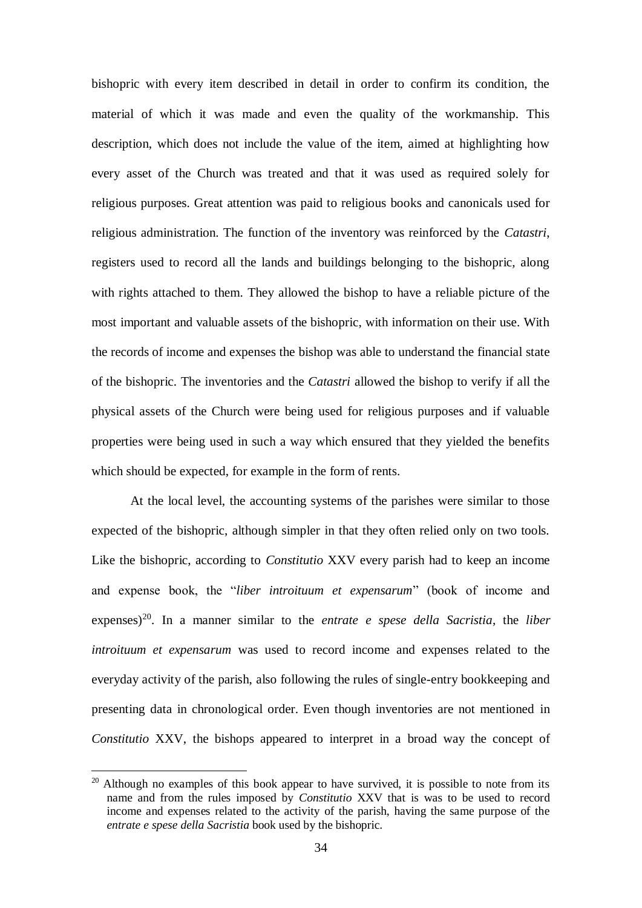bishopric with every item described in detail in order to confirm its condition, the material of which it was made and even the quality of the workmanship. This description, which does not include the value of the item, aimed at highlighting how every asset of the Church was treated and that it was used as required solely for religious purposes. Great attention was paid to religious books and canonicals used for religious administration. The function of the inventory was reinforced by the *Catastri*, registers used to record all the lands and buildings belonging to the bishopric, along with rights attached to them. They allowed the bishop to have a reliable picture of the most important and valuable assets of the bishopric, with information on their use. With the records of income and expenses the bishop was able to understand the financial state of the bishopric. The inventories and the *Catastri* allowed the bishop to verify if all the physical assets of the Church were being used for religious purposes and if valuable properties were being used in such a way which ensured that they yielded the benefits which should be expected, for example in the form of rents.

At the local level, the accounting systems of the parishes were similar to those expected of the bishopric, although simpler in that they often relied only on two tools. Like the bishopric, according to *Constitutio* XXV every parish had to keep an income and expense book, the "*liber introituum et expensarum*" (book of income and expenses)<sup>20</sup>. In a manner similar to the *entrate e spese della Sacristia*, the *liber introituum et expensarum* was used to record income and expenses related to the everyday activity of the parish, also following the rules of single-entry bookkeeping and presenting data in chronological order. Even though inventories are not mentioned in *Constitutio* XXV, the bishops appeared to interpret in a broad way the concept of

 $20$  Although no examples of this book appear to have survived, it is possible to note from its name and from the rules imposed by *Constitutio* XXV that is was to be used to record income and expenses related to the activity of the parish, having the same purpose of the *entrate e spese della Sacristia* book used by the bishopric.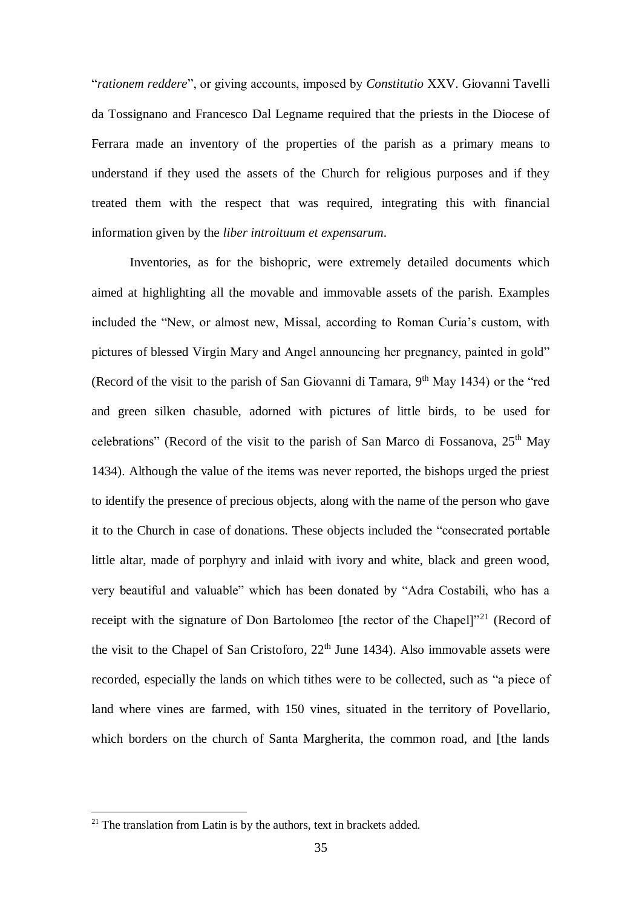"*rationem reddere*", or giving accounts, imposed by *Constitutio* XXV. Giovanni Tavelli da Tossignano and Francesco Dal Legname required that the priests in the Diocese of Ferrara made an inventory of the properties of the parish as a primary means to understand if they used the assets of the Church for religious purposes and if they treated them with the respect that was required, integrating this with financial information given by the *liber introituum et expensarum*.

Inventories, as for the bishopric, were extremely detailed documents which aimed at highlighting all the movable and immovable assets of the parish. Examples included the "New, or almost new, Missal, according to Roman Curia's custom, with pictures of blessed Virgin Mary and Angel announcing her pregnancy, painted in gold" (Record of the visit to the parish of San Giovanni di Tamara,  $9<sup>th</sup>$  May 1434) or the "red and green silken chasuble, adorned with pictures of little birds, to be used for celebrations" (Record of the visit to the parish of San Marco di Fossanova,  $25<sup>th</sup>$  May 1434). Although the value of the items was never reported, the bishops urged the priest to identify the presence of precious objects, along with the name of the person who gave it to the Church in case of donations. These objects included the "consecrated portable little altar, made of porphyry and inlaid with ivory and white, black and green wood, very beautiful and valuable" which has been donated by "Adra Costabili, who has a receipt with the signature of Don Bartolomeo [the rector of the Chapel]"<sup>21</sup> (Record of the visit to the Chapel of San Cristoforo,  $22<sup>th</sup>$  June 1434). Also immovable assets were recorded, especially the lands on which tithes were to be collected, such as "a piece of land where vines are farmed, with 150 vines, situated in the territory of Povellario, which borders on the church of Santa Margherita, the common road, and [the lands

 $21$  The translation from Latin is by the authors, text in brackets added.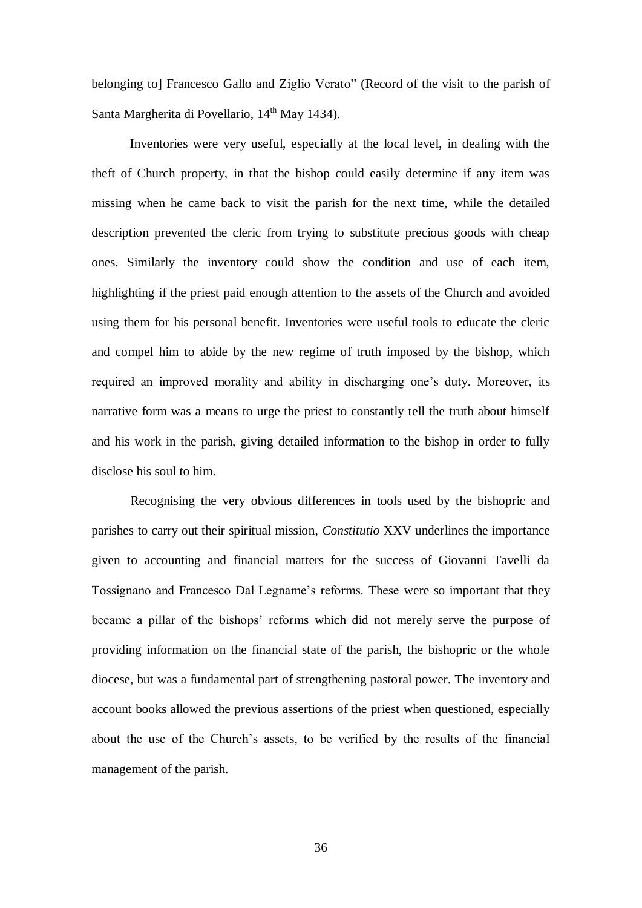belonging to] Francesco Gallo and Ziglio Verato" (Record of the visit to the parish of Santa Margherita di Povellario, 14<sup>th</sup> May 1434).

Inventories were very useful, especially at the local level, in dealing with the theft of Church property, in that the bishop could easily determine if any item was missing when he came back to visit the parish for the next time, while the detailed description prevented the cleric from trying to substitute precious goods with cheap ones. Similarly the inventory could show the condition and use of each item, highlighting if the priest paid enough attention to the assets of the Church and avoided using them for his personal benefit. Inventories were useful tools to educate the cleric and compel him to abide by the new regime of truth imposed by the bishop, which required an improved morality and ability in discharging one's duty. Moreover, its narrative form was a means to urge the priest to constantly tell the truth about himself and his work in the parish, giving detailed information to the bishop in order to fully disclose his soul to him.

Recognising the very obvious differences in tools used by the bishopric and parishes to carry out their spiritual mission, *Constitutio* XXV underlines the importance given to accounting and financial matters for the success of Giovanni Tavelli da Tossignano and Francesco Dal Legname's reforms. These were so important that they became a pillar of the bishops' reforms which did not merely serve the purpose of providing information on the financial state of the parish, the bishopric or the whole diocese, but was a fundamental part of strengthening pastoral power. The inventory and account books allowed the previous assertions of the priest when questioned, especially about the use of the Church's assets, to be verified by the results of the financial management of the parish.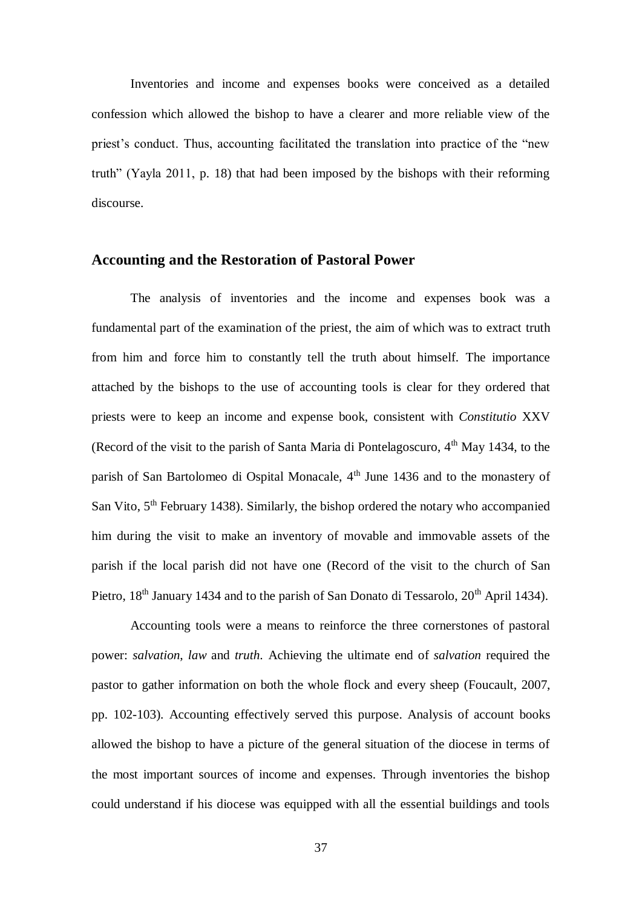Inventories and income and expenses books were conceived as a detailed confession which allowed the bishop to have a clearer and more reliable view of the priest's conduct. Thus, accounting facilitated the translation into practice of the "new truth" (Yayla 2011, p. 18) that had been imposed by the bishops with their reforming discourse.

#### **Accounting and the Restoration of Pastoral Power**

The analysis of inventories and the income and expenses book was a fundamental part of the examination of the priest, the aim of which was to extract truth from him and force him to constantly tell the truth about himself. The importance attached by the bishops to the use of accounting tools is clear for they ordered that priests were to keep an income and expense book, consistent with *Constitutio* XXV (Record of the visit to the parish of Santa Maria di Pontelagoscuro,  $4<sup>th</sup>$  May 1434, to the parish of San Bartolomeo di Ospital Monacale, 4<sup>th</sup> June 1436 and to the monastery of San Vito, 5<sup>th</sup> February 1438). Similarly, the bishop ordered the notary who accompanied him during the visit to make an inventory of movable and immovable assets of the parish if the local parish did not have one (Record of the visit to the church of San Pietro, 18<sup>th</sup> January 1434 and to the parish of San Donato di Tessarolo, 20<sup>th</sup> April 1434).

Accounting tools were a means to reinforce the three cornerstones of pastoral power: *salvation*, *law* and *truth*. Achieving the ultimate end of *salvation* required the pastor to gather information on both the whole flock and every sheep (Foucault, 2007, pp. 102-103). Accounting effectively served this purpose. Analysis of account books allowed the bishop to have a picture of the general situation of the diocese in terms of the most important sources of income and expenses. Through inventories the bishop could understand if his diocese was equipped with all the essential buildings and tools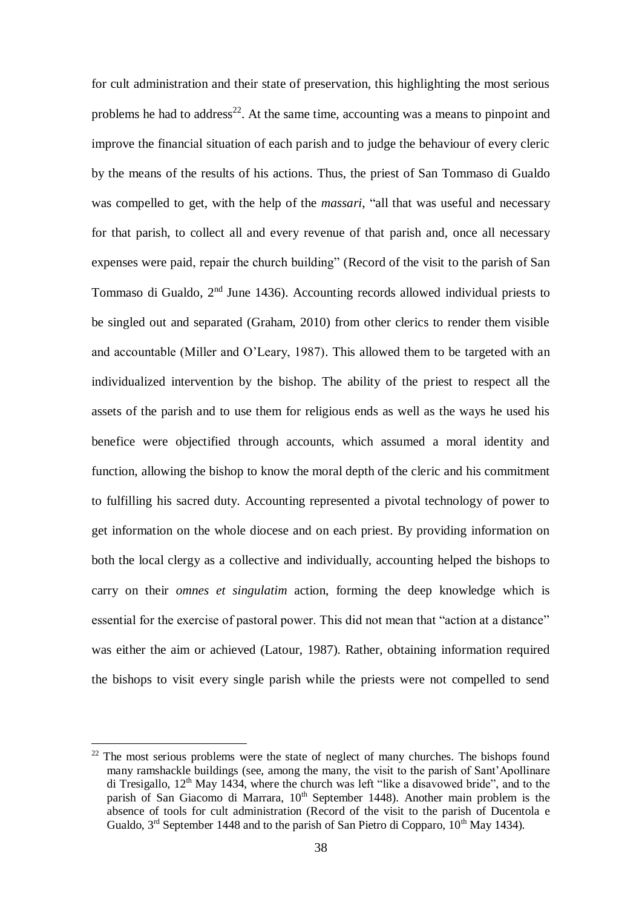for cult administration and their state of preservation, this highlighting the most serious problems he had to address<sup>22</sup>. At the same time, accounting was a means to pinpoint and improve the financial situation of each parish and to judge the behaviour of every cleric by the means of the results of his actions. Thus, the priest of San Tommaso di Gualdo was compelled to get, with the help of the *massari*, "all that was useful and necessary for that parish, to collect all and every revenue of that parish and, once all necessary expenses were paid, repair the church building" (Record of the visit to the parish of San Tommaso di Gualdo, 2nd June 1436). Accounting records allowed individual priests to be singled out and separated (Graham, 2010) from other clerics to render them visible and accountable (Miller and O'Leary, 1987). This allowed them to be targeted with an individualized intervention by the bishop. The ability of the priest to respect all the assets of the parish and to use them for religious ends as well as the ways he used his benefice were objectified through accounts, which assumed a moral identity and function, allowing the bishop to know the moral depth of the cleric and his commitment to fulfilling his sacred duty. Accounting represented a pivotal technology of power to get information on the whole diocese and on each priest. By providing information on both the local clergy as a collective and individually, accounting helped the bishops to carry on their *omnes et singulatim* action, forming the deep knowledge which is essential for the exercise of pastoral power. This did not mean that "action at a distance" was either the aim or achieved (Latour, 1987). Rather, obtaining information required the bishops to visit every single parish while the priests were not compelled to send

 $22$  The most serious problems were the state of neglect of many churches. The bishops found many ramshackle buildings (see, among the many, the visit to the parish of Sant'Apollinare di Tresigallo,  $12<sup>th</sup>$  May 1434, where the church was left "like a disavowed bride", and to the parish of San Giacomo di Marrara, 10<sup>th</sup> September 1448). Another main problem is the absence of tools for cult administration (Record of the visit to the parish of Ducentola e Gualdo,  $3<sup>rd</sup>$  September 1448 and to the parish of San Pietro di Copparo,  $10<sup>th</sup>$  May 1434).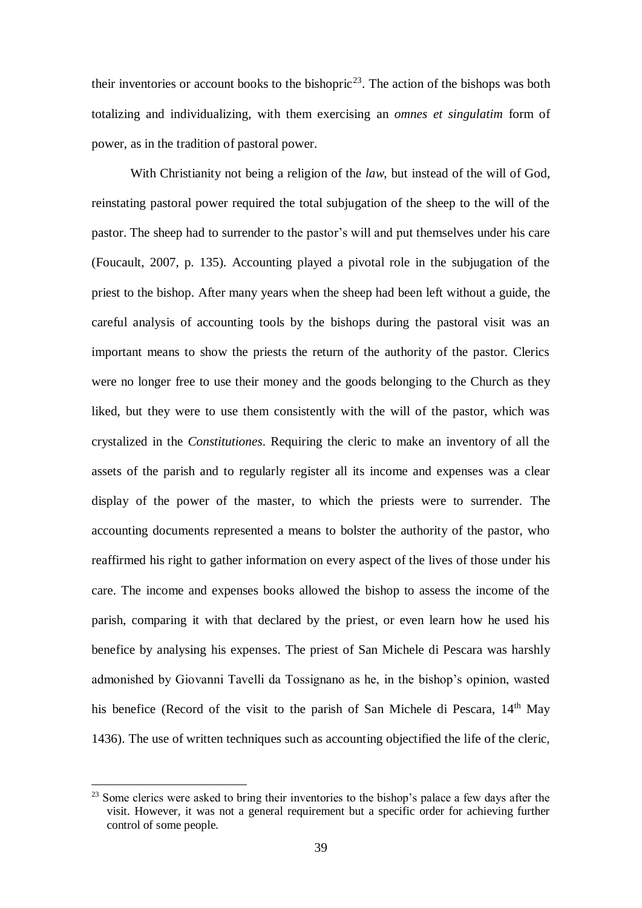their inventories or account books to the bishopric<sup>23</sup>. The action of the bishops was both totalizing and individualizing, with them exercising an *omnes et singulatim* form of power, as in the tradition of pastoral power.

With Christianity not being a religion of the *law*, but instead of the will of God, reinstating pastoral power required the total subjugation of the sheep to the will of the pastor. The sheep had to surrender to the pastor's will and put themselves under his care (Foucault, 2007, p. 135). Accounting played a pivotal role in the subjugation of the priest to the bishop. After many years when the sheep had been left without a guide, the careful analysis of accounting tools by the bishops during the pastoral visit was an important means to show the priests the return of the authority of the pastor. Clerics were no longer free to use their money and the goods belonging to the Church as they liked, but they were to use them consistently with the will of the pastor, which was crystalized in the *Constitutiones*. Requiring the cleric to make an inventory of all the assets of the parish and to regularly register all its income and expenses was a clear display of the power of the master, to which the priests were to surrender. The accounting documents represented a means to bolster the authority of the pastor, who reaffirmed his right to gather information on every aspect of the lives of those under his care. The income and expenses books allowed the bishop to assess the income of the parish, comparing it with that declared by the priest, or even learn how he used his benefice by analysing his expenses. The priest of San Michele di Pescara was harshly admonished by Giovanni Tavelli da Tossignano as he, in the bishop's opinion, wasted his benefice (Record of the visit to the parish of San Michele di Pescara, 14<sup>th</sup> May 1436). The use of written techniques such as accounting objectified the life of the cleric,

 $23$  Some clerics were asked to bring their inventories to the bishop's palace a few days after the visit. However, it was not a general requirement but a specific order for achieving further control of some people.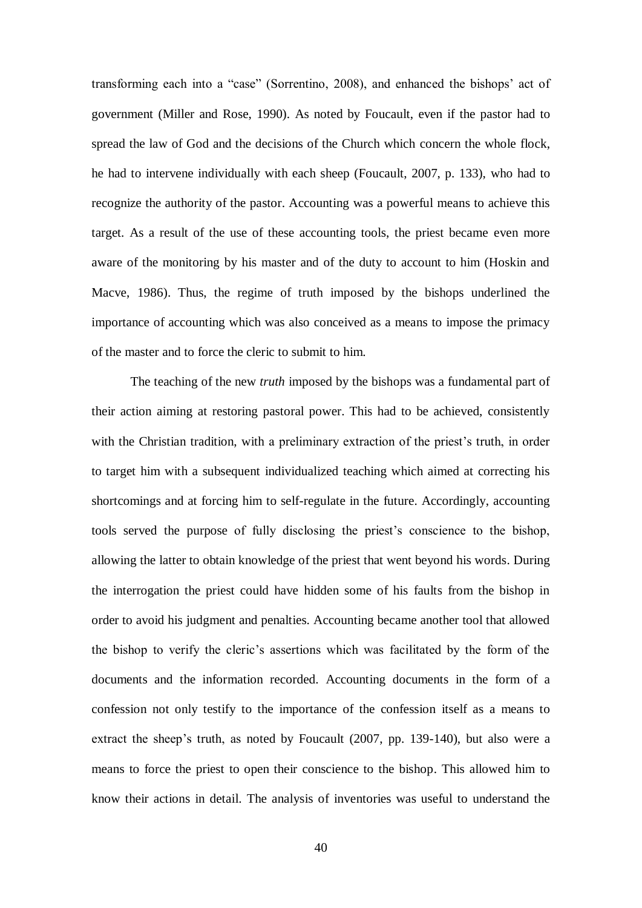transforming each into a "case" (Sorrentino, 2008), and enhanced the bishops' act of government (Miller and Rose, 1990). As noted by Foucault, even if the pastor had to spread the law of God and the decisions of the Church which concern the whole flock, he had to intervene individually with each sheep (Foucault, 2007, p. 133), who had to recognize the authority of the pastor. Accounting was a powerful means to achieve this target. As a result of the use of these accounting tools, the priest became even more aware of the monitoring by his master and of the duty to account to him (Hoskin and Macve, 1986). Thus, the regime of truth imposed by the bishops underlined the importance of accounting which was also conceived as a means to impose the primacy of the master and to force the cleric to submit to him.

The teaching of the new *truth* imposed by the bishops was a fundamental part of their action aiming at restoring pastoral power. This had to be achieved, consistently with the Christian tradition, with a preliminary extraction of the priest's truth, in order to target him with a subsequent individualized teaching which aimed at correcting his shortcomings and at forcing him to self-regulate in the future. Accordingly, accounting tools served the purpose of fully disclosing the priest's conscience to the bishop, allowing the latter to obtain knowledge of the priest that went beyond his words. During the interrogation the priest could have hidden some of his faults from the bishop in order to avoid his judgment and penalties. Accounting became another tool that allowed the bishop to verify the cleric's assertions which was facilitated by the form of the documents and the information recorded. Accounting documents in the form of a confession not only testify to the importance of the confession itself as a means to extract the sheep's truth, as noted by Foucault (2007, pp. 139-140), but also were a means to force the priest to open their conscience to the bishop. This allowed him to know their actions in detail. The analysis of inventories was useful to understand the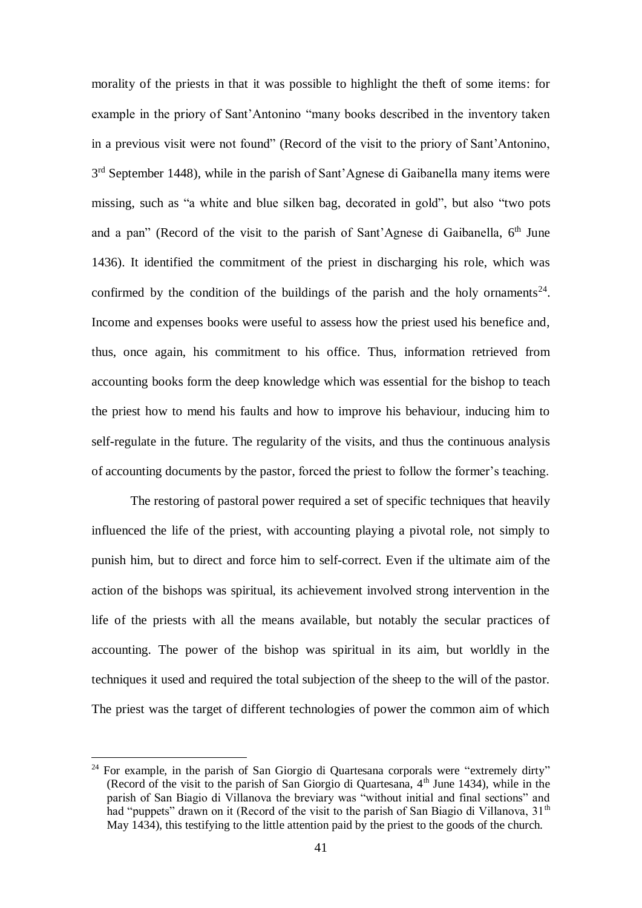morality of the priests in that it was possible to highlight the theft of some items: for example in the priory of Sant'Antonino "many books described in the inventory taken in a previous visit were not found" (Record of the visit to the priory of Sant'Antonino, 3<sup>rd</sup> September 1448), while in the parish of Sant'Agnese di Gaibanella many items were missing, such as "a white and blue silken bag, decorated in gold", but also "two pots and a pan" (Record of the visit to the parish of Sant'Agnese di Gaibanella, 6<sup>th</sup> June 1436). It identified the commitment of the priest in discharging his role, which was confirmed by the condition of the buildings of the parish and the holy ornaments<sup>24</sup>. Income and expenses books were useful to assess how the priest used his benefice and, thus, once again, his commitment to his office. Thus, information retrieved from accounting books form the deep knowledge which was essential for the bishop to teach the priest how to mend his faults and how to improve his behaviour, inducing him to self-regulate in the future. The regularity of the visits, and thus the continuous analysis of accounting documents by the pastor, forced the priest to follow the former's teaching.

The restoring of pastoral power required a set of specific techniques that heavily influenced the life of the priest, with accounting playing a pivotal role, not simply to punish him, but to direct and force him to self-correct. Even if the ultimate aim of the action of the bishops was spiritual, its achievement involved strong intervention in the life of the priests with all the means available, but notably the secular practices of accounting. The power of the bishop was spiritual in its aim, but worldly in the techniques it used and required the total subjection of the sheep to the will of the pastor. The priest was the target of different technologies of power the common aim of which

 $24$  For example, in the parish of San Giorgio di Quartesana corporals were "extremely dirty" (Record of the visit to the parish of San Giorgio di Quartesana,  $4<sup>th</sup>$  June 1434), while in the parish of San Biagio di Villanova the breviary was "without initial and final sections" and had "puppets" drawn on it (Record of the visit to the parish of San Biagio di Villanova,  $31<sup>th</sup>$ May  $1434$ ), this testifying to the little attention paid by the priest to the goods of the church.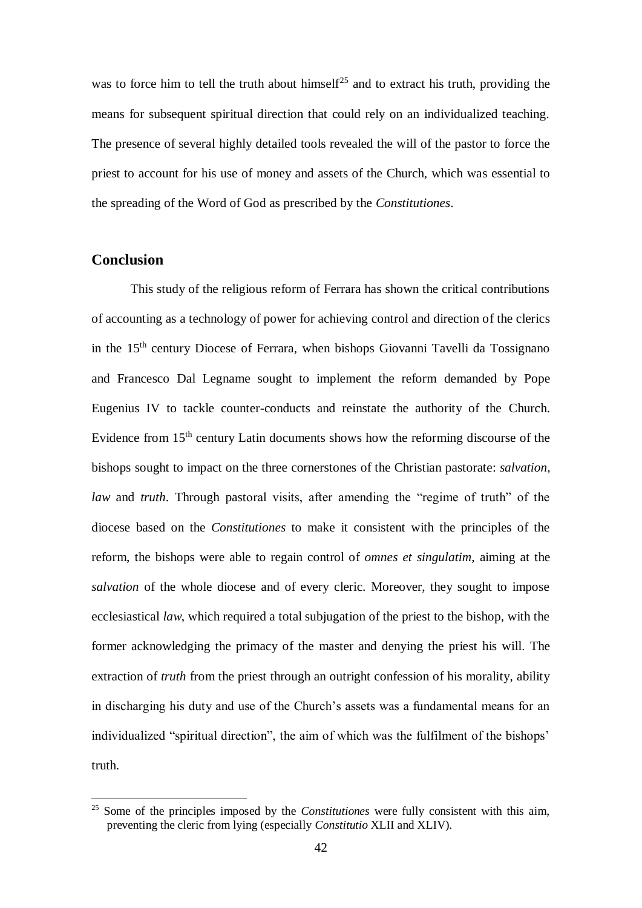was to force him to tell the truth about himself<sup>25</sup> and to extract his truth, providing the means for subsequent spiritual direction that could rely on an individualized teaching. The presence of several highly detailed tools revealed the will of the pastor to force the priest to account for his use of money and assets of the Church, which was essential to the spreading of the Word of God as prescribed by the *Constitutiones*.

#### **Conclusion**

 $\overline{a}$ 

This study of the religious reform of Ferrara has shown the critical contributions of accounting as a technology of power for achieving control and direction of the clerics in the 15th century Diocese of Ferrara, when bishops Giovanni Tavelli da Tossignano and Francesco Dal Legname sought to implement the reform demanded by Pope Eugenius IV to tackle counter-conducts and reinstate the authority of the Church. Evidence from 15th century Latin documents shows how the reforming discourse of the bishops sought to impact on the three cornerstones of the Christian pastorate: *salvation*, *law* and *truth*. Through pastoral visits, after amending the "regime of truth" of the diocese based on the *Constitutiones* to make it consistent with the principles of the reform, the bishops were able to regain control of *omnes et singulatim*, aiming at the *salvation* of the whole diocese and of every cleric. Moreover, they sought to impose ecclesiastical *law*, which required a total subjugation of the priest to the bishop, with the former acknowledging the primacy of the master and denying the priest his will. The extraction of *truth* from the priest through an outright confession of his morality, ability in discharging his duty and use of the Church's assets was a fundamental means for an individualized "spiritual direction", the aim of which was the fulfilment of the bishops' truth.

<sup>&</sup>lt;sup>25</sup> Some of the principles imposed by the *Constitutiones* were fully consistent with this aim, preventing the cleric from lying (especially *Constitutio* XLII and XLIV).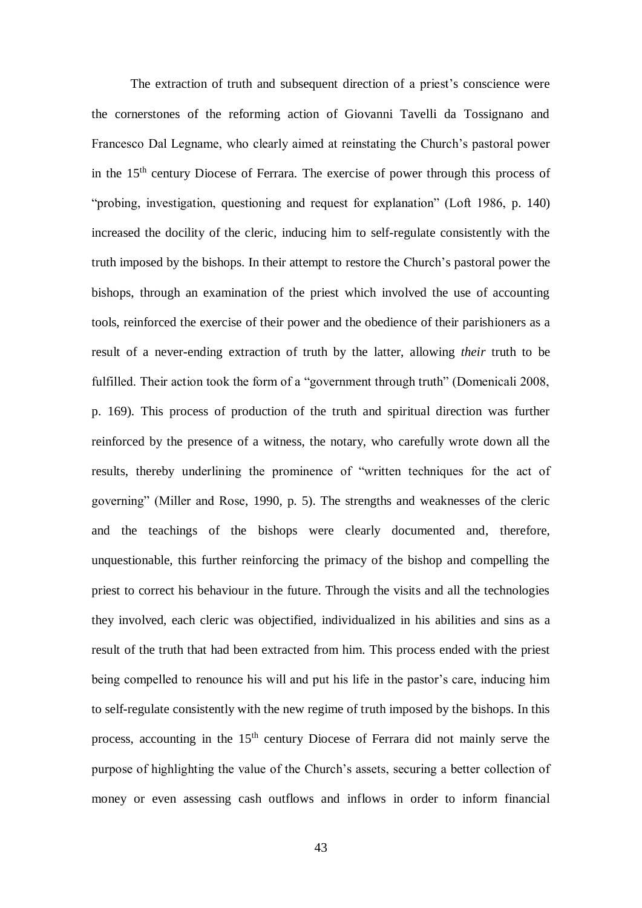The extraction of truth and subsequent direction of a priest's conscience were the cornerstones of the reforming action of Giovanni Tavelli da Tossignano and Francesco Dal Legname, who clearly aimed at reinstating the Church's pastoral power in the 15th century Diocese of Ferrara. The exercise of power through this process of "probing, investigation, questioning and request for explanation" (Loft 1986, p. 140) increased the docility of the cleric, inducing him to self-regulate consistently with the truth imposed by the bishops. In their attempt to restore the Church's pastoral power the bishops, through an examination of the priest which involved the use of accounting tools, reinforced the exercise of their power and the obedience of their parishioners as a result of a never-ending extraction of truth by the latter, allowing *their* truth to be fulfilled. Their action took the form of a "government through truth" (Domenicali 2008, p. 169). This process of production of the truth and spiritual direction was further reinforced by the presence of a witness, the notary, who carefully wrote down all the results, thereby underlining the prominence of "written techniques for the act of governing" (Miller and Rose, 1990, p. 5). The strengths and weaknesses of the cleric and the teachings of the bishops were clearly documented and, therefore, unquestionable, this further reinforcing the primacy of the bishop and compelling the priest to correct his behaviour in the future. Through the visits and all the technologies they involved, each cleric was objectified, individualized in his abilities and sins as a result of the truth that had been extracted from him. This process ended with the priest being compelled to renounce his will and put his life in the pastor's care, inducing him to self-regulate consistently with the new regime of truth imposed by the bishops. In this process, accounting in the 15<sup>th</sup> century Diocese of Ferrara did not mainly serve the purpose of highlighting the value of the Church's assets, securing a better collection of money or even assessing cash outflows and inflows in order to inform financial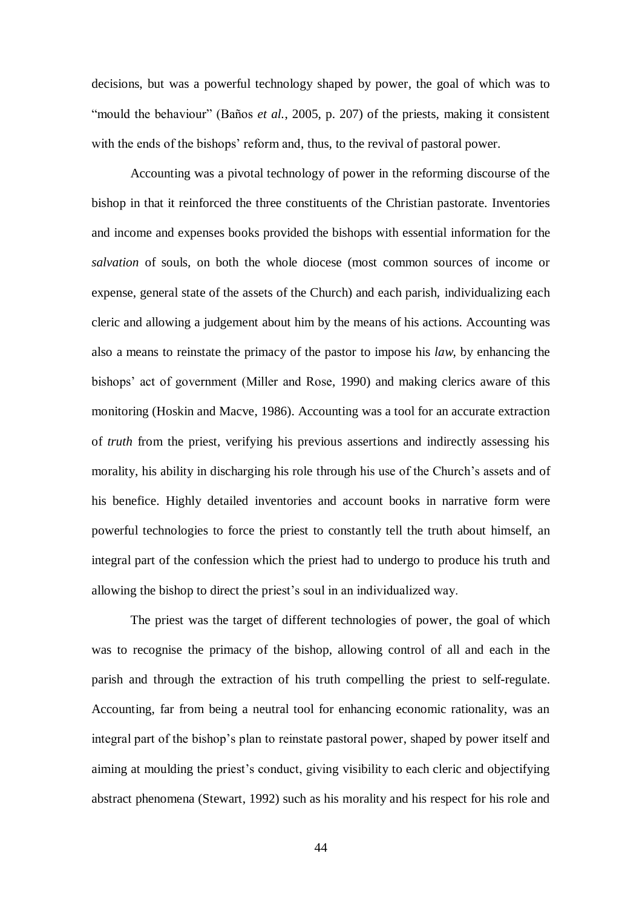decisions, but was a powerful technology shaped by power, the goal of which was to "mould the behaviour" (Baños *et al.*, 2005, p. 207) of the priests, making it consistent with the ends of the bishops' reform and, thus, to the revival of pastoral power.

Accounting was a pivotal technology of power in the reforming discourse of the bishop in that it reinforced the three constituents of the Christian pastorate. Inventories and income and expenses books provided the bishops with essential information for the *salvation* of souls, on both the whole diocese (most common sources of income or expense, general state of the assets of the Church) and each parish, individualizing each cleric and allowing a judgement about him by the means of his actions. Accounting was also a means to reinstate the primacy of the pastor to impose his *law*, by enhancing the bishops' act of government (Miller and Rose, 1990) and making clerics aware of this monitoring (Hoskin and Macve, 1986). Accounting was a tool for an accurate extraction of *truth* from the priest, verifying his previous assertions and indirectly assessing his morality, his ability in discharging his role through his use of the Church's assets and of his benefice. Highly detailed inventories and account books in narrative form were powerful technologies to force the priest to constantly tell the truth about himself, an integral part of the confession which the priest had to undergo to produce his truth and allowing the bishop to direct the priest's soul in an individualized way.

The priest was the target of different technologies of power, the goal of which was to recognise the primacy of the bishop, allowing control of all and each in the parish and through the extraction of his truth compelling the priest to self-regulate. Accounting, far from being a neutral tool for enhancing economic rationality, was an integral part of the bishop's plan to reinstate pastoral power, shaped by power itself and aiming at moulding the priest's conduct, giving visibility to each cleric and objectifying abstract phenomena (Stewart, 1992) such as his morality and his respect for his role and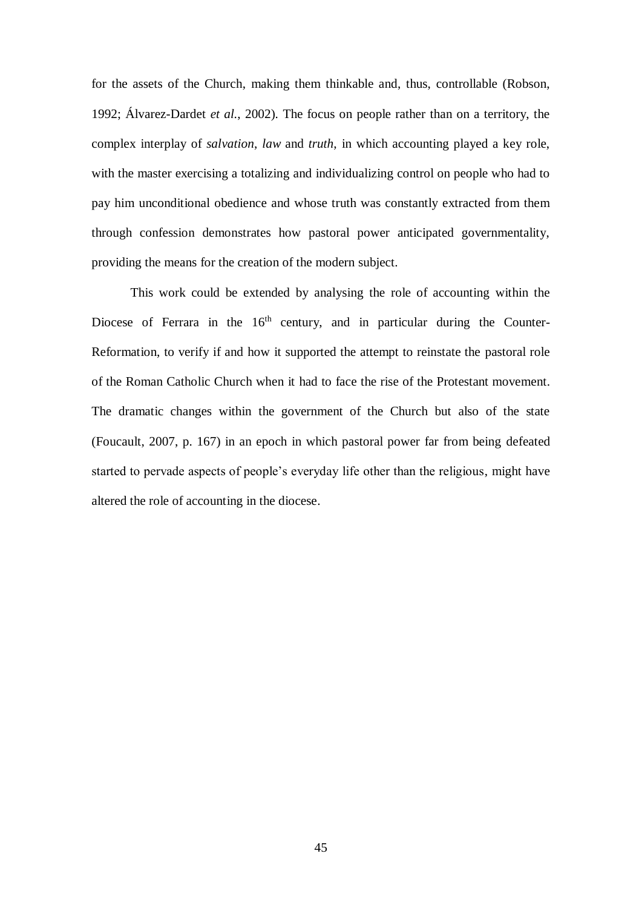for the assets of the Church, making them thinkable and, thus, controllable (Robson, 1992; Álvarez-Dardet *et al.*, 2002). The focus on people rather than on a territory, the complex interplay of *salvation*, *law* and *truth*, in which accounting played a key role, with the master exercising a totalizing and individualizing control on people who had to pay him unconditional obedience and whose truth was constantly extracted from them through confession demonstrates how pastoral power anticipated governmentality, providing the means for the creation of the modern subject.

This work could be extended by analysing the role of accounting within the Diocese of Ferrara in the  $16<sup>th</sup>$  century, and in particular during the Counter-Reformation, to verify if and how it supported the attempt to reinstate the pastoral role of the Roman Catholic Church when it had to face the rise of the Protestant movement. The dramatic changes within the government of the Church but also of the state (Foucault, 2007, p. 167) in an epoch in which pastoral power far from being defeated started to pervade aspects of people's everyday life other than the religious, might have altered the role of accounting in the diocese.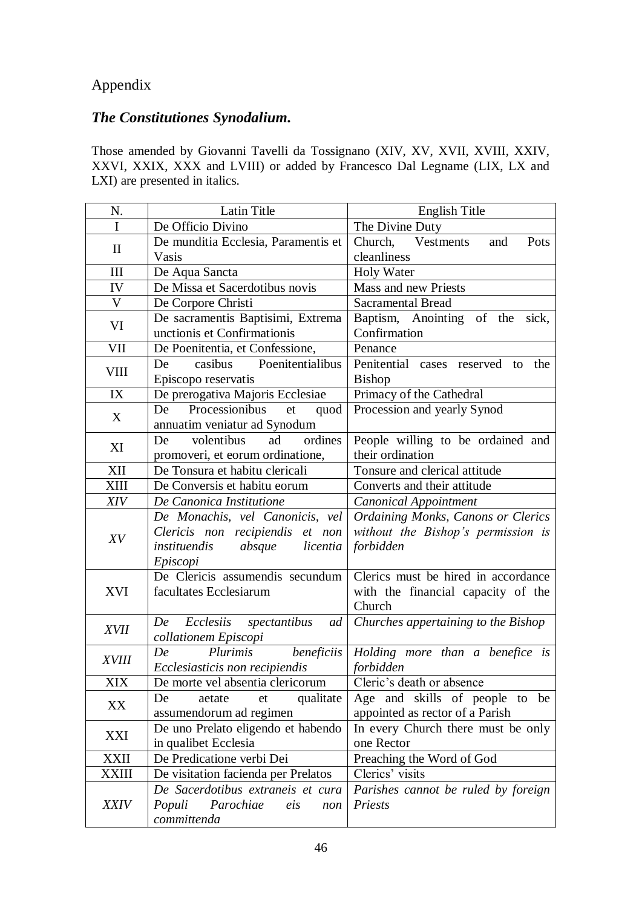## Appendix

### *The Constitutiones Synodalium.*

Those amended by Giovanni Tavelli da Tossignano (XIV, XV, XVII, XVIII, XXIV, XXVI, XXIX, XXX and LVIII) or added by Francesco Dal Legname (LIX, LX and LXI) are presented in italics.

| N.                 | Latin Title                                                              | English Title                                    |
|--------------------|--------------------------------------------------------------------------|--------------------------------------------------|
| I                  | De Officio Divino                                                        | The Divine Duty                                  |
| $\rm II$           | De munditia Ecclesia, Paramentis et                                      | Church, Vestments<br>Pots<br>and                 |
|                    | Vasis                                                                    | cleanliness                                      |
| III                | De Aqua Sancta                                                           | <b>Holy Water</b>                                |
| IV                 | De Missa et Sacerdotibus novis                                           | Mass and new Priests                             |
| V                  | De Corpore Christi                                                       | <b>Sacramental Bread</b>                         |
| VI                 | De sacramentis Baptisimi, Extrema                                        | Baptism, Anointing of the sick,                  |
|                    | unctionis et Confirmationis                                              | Confirmation                                     |
| <b>VII</b>         | De Poenitentia, et Confessione,                                          | Penance                                          |
| <b>VIII</b>        | casibus<br>Poenitentialibus<br>De                                        | Penitential cases reserved to the                |
|                    | Episcopo reservatis                                                      | <b>Bishop</b>                                    |
| IX                 | De prerogativa Majoris Ecclesiae                                         | Primacy of the Cathedral                         |
| X                  | Processionibus<br>De<br>et<br>quod                                       | Procession and yearly Synod                      |
|                    | annuatim veniatur ad Synodum                                             |                                                  |
| XI                 | volentibus<br>ad<br>ordines<br>De                                        | People willing to be ordained and                |
|                    | promoveri, et eorum ordinatione,                                         | their ordination                                 |
| XII                | De Tonsura et habitu clericali                                           | Tonsure and clerical attitude                    |
| XIII               | De Conversis et habitu eorum                                             | Converts and their attitude                      |
| <i>XIV</i>         | De Canonica Institutione                                                 | <b>Canonical Appointment</b>                     |
|                    | De Monachis, vel Canonicis, vel                                          | Ordaining Monks, Canons or Clerics               |
| XV                 | Clericis non recipiendis et non                                          | without the Bishop's permission is               |
|                    | absque<br>licentia<br>instituendis                                       | forbidden                                        |
|                    | Episcopi                                                                 |                                                  |
|                    | De Clericis assumendis secundum                                          | Clerics must be hired in accordance              |
| XVI                | facultates Ecclesiarum                                                   | with the financial capacity of the               |
|                    |                                                                          | Church                                           |
| <b>XVII</b>        | Ecclesiis<br>spectantibus<br>De<br>ad                                    | Churches appertaining to the Bishop              |
|                    | collationem Episcopi                                                     |                                                  |
| <b>XVIII</b>       | Plurimis<br>beneficiis<br>De                                             | Holding more than a benefice is                  |
|                    | Ecclesiasticis non recipiendis                                           | forbidden                                        |
| <b>XIX</b>         | De morte vel absentia clericorum                                         | Cleric's death or absence                        |
| XX                 | qualitate<br>De<br>aetate<br>et                                          | Age and skills of people to be                   |
|                    | assumendorum ad regimen                                                  | appointed as rector of a Parish                  |
| XXI<br><b>XXII</b> | De uno Prelato eligendo et habendo                                       | In every Church there must be only<br>one Rector |
|                    | in qualibet Ecclesia<br>De Predicatione verbi Dei                        | Preaching the Word of God                        |
|                    |                                                                          | Clerics' visits                                  |
| <b>XXIII</b>       | De visitation facienda per Prelatos<br>De Sacerdotibus extraneis et cura |                                                  |
| <b>XXIV</b>        |                                                                          | Parishes cannot be ruled by foreign<br>Priests   |
|                    | Populi<br>Parochiae<br>eis<br>non<br>committenda                         |                                                  |
|                    |                                                                          |                                                  |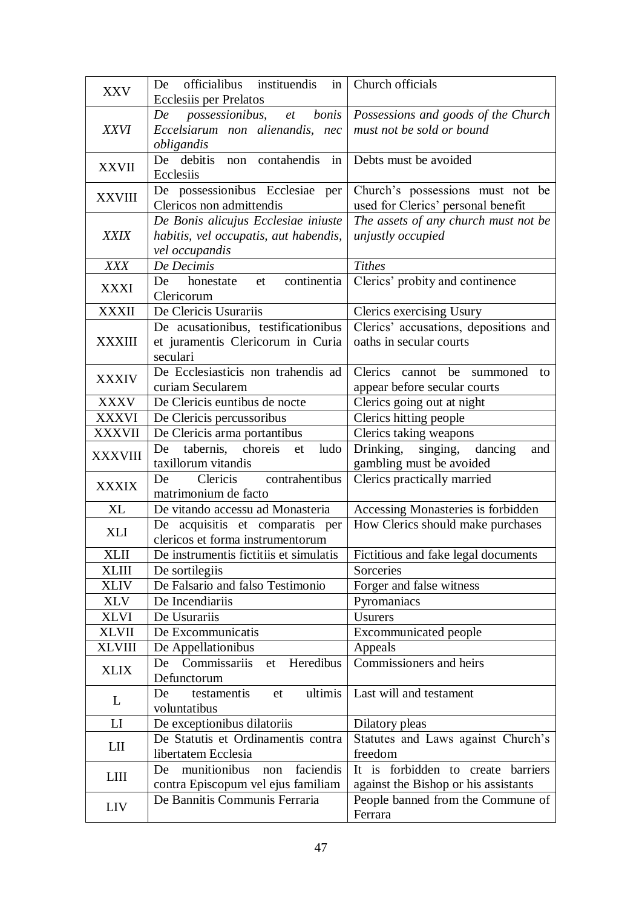| XXV            | officialibus instituendis in Church officials<br>De |                                                      |
|----------------|-----------------------------------------------------|------------------------------------------------------|
|                | Ecclesiis per Prelatos                              |                                                      |
| <b>XXVI</b>    | bonis<br><i>possessionibus, et</i><br>De            | Possessions and goods of the Church                  |
|                | Eccelsiarum non alienandis, nec                     | must not be sold or bound                            |
|                | obligandis                                          |                                                      |
| <b>XXVII</b>   | De debitis non contahendis in                       | Debts must be avoided                                |
|                | Ecclesiis                                           |                                                      |
| <b>XXVIII</b>  | De possessionibus Ecclesiae per                     | Church's possessions must not be                     |
|                | Clericos non admittendis                            | used for Clerics' personal benefit                   |
| <b>XXIX</b>    | De Bonis alicujus Ecclesiae iniuste                 | The assets of any church must not be                 |
|                | habitis, vel occupatis, aut habendis,               | unjustly occupied                                    |
|                | vel occupandis                                      |                                                      |
| <b>XXX</b>     | De Decimis                                          | <b>Tithes</b>                                        |
| XXXI           | continentia<br>De<br>honestate<br>et                | Clerics' probity and continence                      |
|                | Clericorum                                          |                                                      |
| <b>XXXII</b>   | De Clericis Usurariis                               | Clerics exercising Usury                             |
|                | De acusationibus, testificationibus                 | Clerics' accusations, depositions and                |
| <b>XXXIII</b>  | et juramentis Clericorum in Curia                   | oaths in secular courts                              |
|                | seculari<br>De Ecclesiasticis non trahendis ad      | Clerics cannot be summoned                           |
| <b>XXXIV</b>   | curiam Secularem                                    | to                                                   |
| XXXV           | De Clericis euntibus de nocte                       | appear before secular courts                         |
| XXXVI          | De Clericis percussoribus                           | Clerics going out at night<br>Clerics hitting people |
| XXXVII         | De Clericis arma portantibus                        | Clerics taking weapons                               |
|                | De tabernis, choreis<br>ludo<br>et                  | Drinking, singing, dancing<br>and                    |
| <b>XXXVIII</b> | taxillorum vitandis                                 | gambling must be avoided                             |
|                | contrahentibus<br>Clericis<br>De                    | Clerics practically married                          |
| <b>XXXIX</b>   | matrimonium de facto                                |                                                      |
| <b>XL</b>      | De vitando accessu ad Monasteria                    | Accessing Monasteries is forbidden                   |
|                | De acquisitis et comparatis per                     | How Clerics should make purchases                    |
| <b>XLI</b>     | clericos et forma instrumentorum                    |                                                      |
| <b>XLII</b>    | De instrumentis fictitiis et simulatis              | Fictitious and fake legal documents                  |
| <b>XLIII</b>   | De sortilegiis                                      | Sorceries                                            |
| XLIV           | De Falsario and falso Testimonio                    | Forger and false witness                             |
| <b>XLV</b>     | De Incendiariis                                     | Pyromaniacs                                          |
| <b>XLVI</b>    | De Usurariis                                        | Usurers                                              |
| <b>XLVII</b>   | De Excommunicatis                                   | Excommunicated people                                |
| <b>XLVIII</b>  | De Appellationibus                                  | Appeals                                              |
|                | Commissariis<br>Heredibus<br>De<br>et               | Commissioners and heirs                              |
| <b>XLIX</b>    | Defunctorum                                         |                                                      |
|                | ultimis<br>testamentis<br>De<br>et                  | Last will and testament                              |
| L              | voluntatibus                                        |                                                      |
| LI             | De exceptionibus dilatoriis                         | Dilatory pleas                                       |
| LII            | De Statutis et Ordinamentis contra                  | Statutes and Laws against Church's                   |
|                | libertatem Ecclesia                                 | freedom                                              |
| <b>LIII</b>    | munitionibus<br>faciendis<br>De<br>non              | It is forbidden to create barriers                   |
|                | contra Episcopum vel ejus familiam                  | against the Bishop or his assistants                 |
| <b>LIV</b>     | De Bannitis Communis Ferraria                       | People banned from the Commune of                    |
|                |                                                     | Ferrara                                              |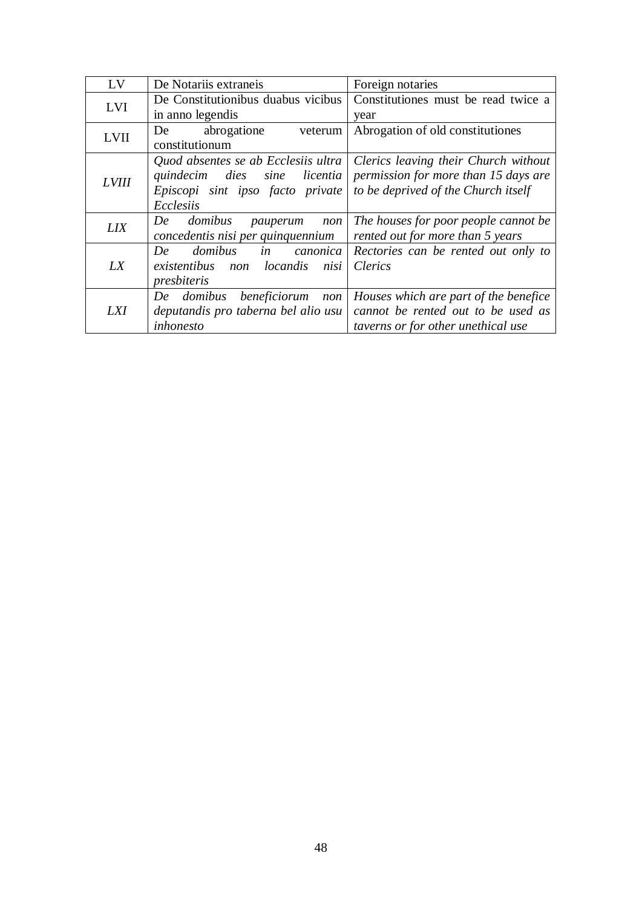| LV           | De Notariis extraneis                | Foreign notaries                      |
|--------------|--------------------------------------|---------------------------------------|
| <b>LVI</b>   | De Constitutionibus duabus vicibus   | Constitutiones must be read twice a   |
|              | in anno legendis                     | year                                  |
| <b>LVII</b>  | abrogatione<br>De<br>veterum         | Abrogation of old constitutiones      |
|              | constitutionum                       |                                       |
| <b>LVIII</b> | Quod absentes se ab Ecclesiis ultra  | Clerics leaving their Church without  |
|              | dies sine licentia<br>quindecim      | permission for more than 15 days are  |
|              | Episcopi sint ipso facto private     | to be deprived of the Church itself   |
|              | Ecclesiis                            |                                       |
| <b>LIX</b>   | domibus<br>De<br>pauperum<br>non     | The houses for poor people cannot be  |
|              | concedentis nisi per quinquennium    | rented out for more than 5 years      |
| LX           | in canonica<br>domibus<br>De         | Rectories can be rented out only to   |
|              | existentibus<br>non locandis<br>nisi | <b>Clerics</b>                        |
|              | presbiteris                          |                                       |
| <b>LXI</b>   | beneficiorum<br>De domibus<br>non    | Houses which are part of the benefice |
|              | deputandis pro taberna bel alio usu  | cannot be rented out to be used as    |
|              | inhonesto                            | taverns or for other unethical use    |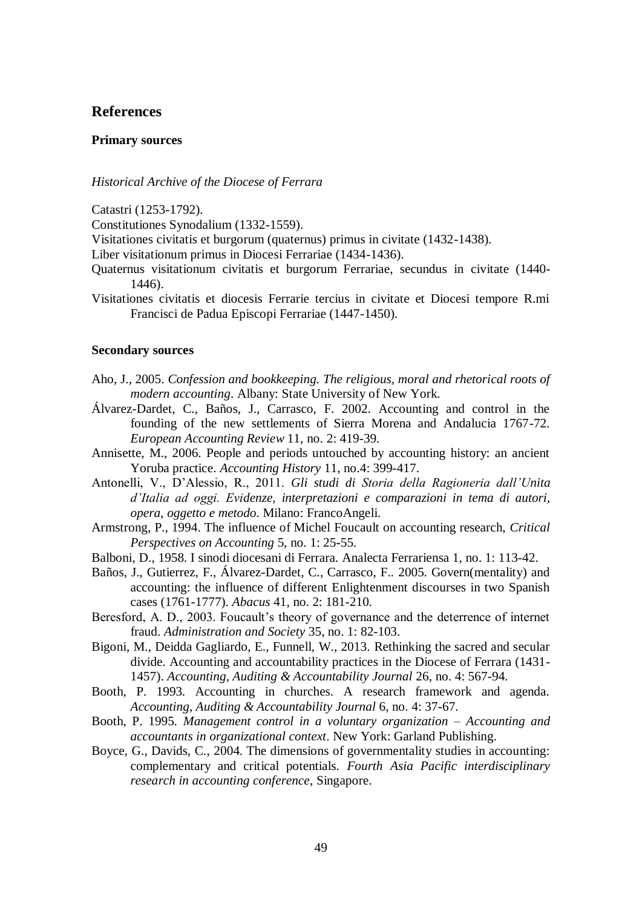#### **References**

#### **Primary sources**

#### *Historical Archive of the Diocese of Ferrara*

Catastri (1253-1792).

Constitutiones Synodalium (1332-1559).

Visitationes civitatis et burgorum (quaternus) primus in civitate (1432-1438).

Liber visitationum primus in Diocesi Ferrariae (1434-1436).

- Quaternus visitationum civitatis et burgorum Ferrariae, secundus in civitate (1440- 1446).
- Visitationes civitatis et diocesis Ferrarie tercius in civitate et Diocesi tempore R.mi Francisci de Padua Episcopi Ferrariae (1447-1450).

#### **Secondary sources**

- Aho, J., 2005. *Confession and bookkeeping. The religious, moral and rhetorical roots of modern accounting*. Albany: State University of New York.
- Álvarez-Dardet, C., Baños, J., Carrasco, F. 2002. Accounting and control in the founding of the new settlements of Sierra Morena and Andalucia 1767-72. *European Accounting Review* 11, no. 2: 419-39.
- Annisette, M., 2006. People and periods untouched by accounting history: an ancient Yoruba practice. *Accounting History* 11, no.4: 399-417.
- Antonelli, V., D'Alessio, R., 2011. *Gli studi di Storia della Ragioneria dall'Unita d'Italia ad oggi. Evidenze, interpretazioni e comparazioni in tema di autori, opera, oggetto e metodo*. Milano: FrancoAngeli.
- Armstrong, P., 1994. The influence of Michel Foucault on accounting research, *Critical Perspectives on Accounting* 5, no. 1: 25-55.
- Balboni, D., 1958. I sinodi diocesani di Ferrara. Analecta Ferrariensa 1, no. 1: 113-42.
- Baños, J., Gutierrez, F., Álvarez-Dardet, C., Carrasco, F.. 2005. Govern(mentality) and accounting: the influence of different Enlightenment discourses in two Spanish cases (1761-1777). *Abacus* 41, no. 2: 181-210.
- Beresford, A. D., 2003. Foucault's theory of governance and the deterrence of internet fraud. *Administration and Society* 35, no. 1: 82-103.
- Bigoni, M., Deidda Gagliardo, E., Funnell, W., 2013. Rethinking the sacred and secular divide. Accounting and accountability practices in the Diocese of Ferrara (1431- 1457). *Accounting, Auditing & Accountability Journal* 26, no. 4: 567-94.
- Booth, P. 1993. Accounting in churches. A research framework and agenda. *Accounting, Auditing & Accountability Journal* 6, no. 4: 37-67.
- Booth, P. 1995. *Management control in a voluntary organization – Accounting and accountants in organizational context*. New York: Garland Publishing.
- Boyce, G., Davids, C., 2004. The dimensions of governmentality studies in accounting: complementary and critical potentials. *Fourth Asia Pacific interdisciplinary research in accounting conference*, Singapore.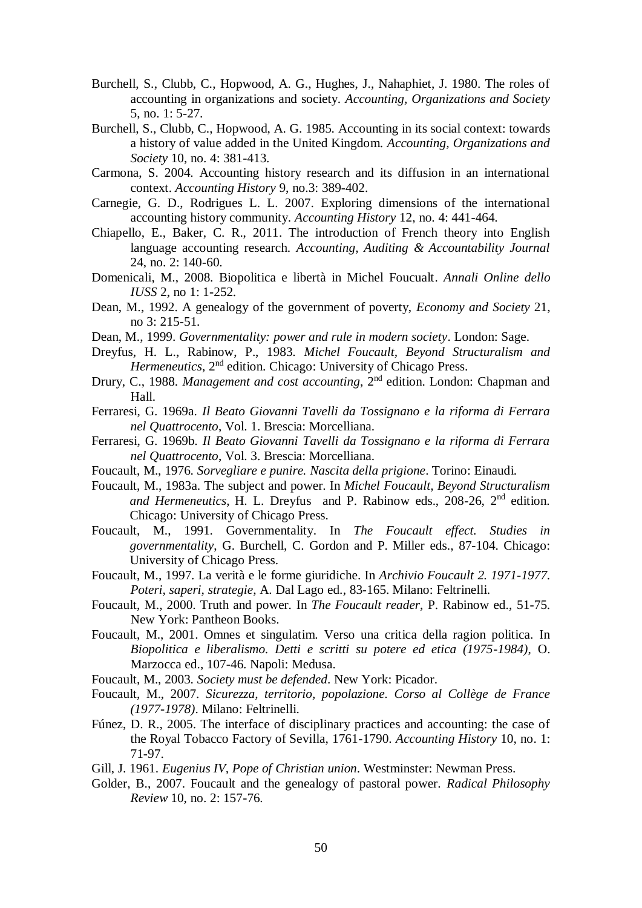- Burchell, S., Clubb, C., Hopwood, A. G., Hughes, J., Nahaphiet, J. 1980. The roles of accounting in organizations and society. *Accounting, Organizations and Society* 5, no. 1: 5-27.
- Burchell, S., Clubb, C., Hopwood, A. G. 1985. Accounting in its social context: towards a history of value added in the United Kingdom. *Accounting, Organizations and Society* 10, no. 4: 381-413.
- Carmona, S. 2004. Accounting history research and its diffusion in an international context. *Accounting History* 9, no.3: 389-402.
- Carnegie, G. D., Rodrigues L. L. 2007. Exploring dimensions of the international accounting history community. *Accounting History* 12, no. 4: 441-464.
- Chiapello, E., Baker, C. R., 2011. The introduction of French theory into English language accounting research. *Accounting, Auditing & Accountability Journal* 24, no. 2: 140-60.
- Domenicali, M., 2008. Biopolitica e libertà in Michel Foucualt. *Annali Online dello IUSS* 2, no 1: 1-252.
- Dean, M., 1992. A genealogy of the government of poverty, *Economy and Society* 21, no 3: 215-51.
- Dean, M., 1999. *Governmentality: power and rule in modern society*. London: Sage.
- Dreyfus, H. L., Rabinow, P., 1983. *Michel Foucault, Beyond Structuralism and Hermeneutics*, 2<sup>nd</sup> edition. Chicago: University of Chicago Press.
- Drury, C., 1988. Management and cost accounting, 2<sup>nd</sup> edition. London: Chapman and Hall.
- Ferraresi, G. 1969a. *Il Beato Giovanni Tavelli da Tossignano e la riforma di Ferrara nel Quattrocento*, Vol. 1. Brescia: Morcelliana.
- Ferraresi, G. 1969b. *Il Beato Giovanni Tavelli da Tossignano e la riforma di Ferrara nel Quattrocento*, Vol. 3. Brescia: Morcelliana.
- Foucault, M., 1976. *Sorvegliare e punire. Nascita della prigione*. Torino: Einaudi.
- Foucault, M., 1983a. The subject and power. In *Michel Foucault, Beyond Structuralism and Hermeneutics*, H. L. Dreyfus and P. Rabinow eds., 208-26, 2nd edition. Chicago: University of Chicago Press.
- Foucault, M., 1991. Governmentality. In *The Foucault effect. Studies in governmentality*, G. Burchell, C. Gordon and P. Miller eds., 87-104. Chicago: University of Chicago Press.
- Foucault, M., 1997. La verità e le forme giuridiche. In *Archivio Foucault 2. 1971-1977. Poteri, saperi, strategie*, A. Dal Lago ed., 83-165. Milano: Feltrinelli.
- Foucault, M., 2000. Truth and power. In *The Foucault reader*, P. Rabinow ed., 51-75. New York: Pantheon Books.
- Foucault, M., 2001. Omnes et singulatim. Verso una critica della ragion politica. In *Biopolitica e liberalismo. Detti e scritti su potere ed etica (1975-1984)*, O. Marzocca ed., 107-46. Napoli: Medusa.
- Foucault, M., 2003. *Society must be defended*. New York: Picador.
- Foucault, M., 2007. *Sicurezza, territorio, popolazione. Corso al Collège de France (1977-1978)*. Milano: Feltrinelli.
- Fúnez, D. R., 2005. The interface of disciplinary practices and accounting: the case of the Royal Tobacco Factory of Sevilla, 1761-1790. *Accounting History* 10, no. 1: 71-97.
- Gill, J. 1961. *Eugenius IV, Pope of Christian union*. Westminster: Newman Press.
- Golder, B., 2007. Foucault and the genealogy of pastoral power. *Radical Philosophy Review* 10, no. 2: 157-76.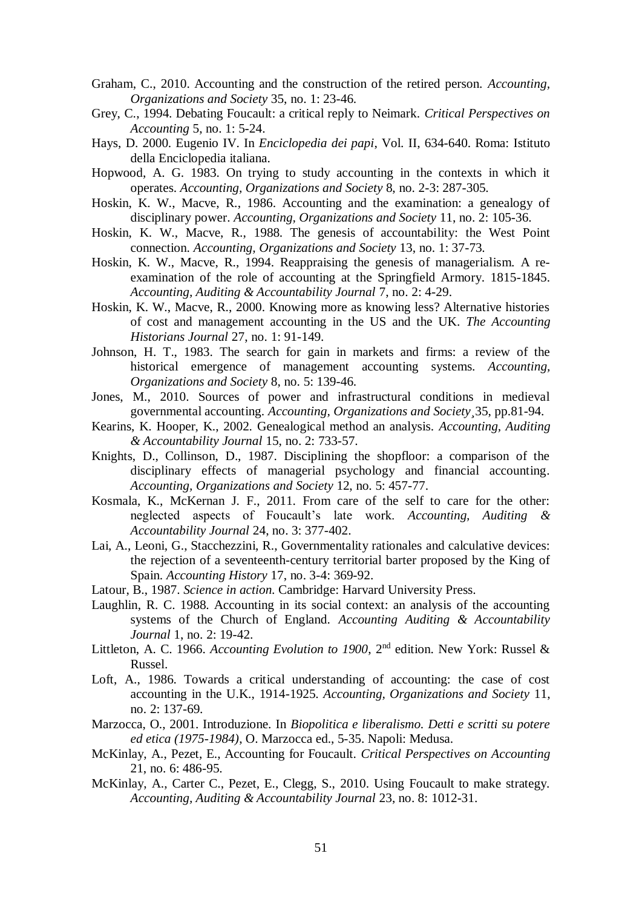- Graham, C., 2010. Accounting and the construction of the retired person. *Accounting, Organizations and Society* 35, no. 1: 23-46.
- Grey, C., 1994. Debating Foucault: a critical reply to Neimark. *Critical Perspectives on Accounting* 5, no. 1: 5-24.
- Hays, D. 2000. Eugenio IV. In *Enciclopedia dei papi*, Vol. II, 634-640. Roma: Istituto della Enciclopedia italiana.
- Hopwood, A. G. 1983. On trying to study accounting in the contexts in which it operates. *Accounting, Organizations and Society* 8, no. 2-3: 287-305.
- Hoskin, K. W., Macve, R., 1986. Accounting and the examination: a genealogy of disciplinary power. *Accounting, Organizations and Society* 11, no. 2: 105-36.
- Hoskin, K. W., Macve, R., 1988. The genesis of accountability: the West Point connection. *Accounting, Organizations and Society* 13, no. 1: 37-73.
- Hoskin, K. W., Macve, R., 1994. Reappraising the genesis of managerialism. A reexamination of the role of accounting at the Springfield Armory. 1815-1845. *Accounting, Auditing & Accountability Journal* 7, no. 2: 4-29.
- Hoskin, K. W., Macve, R., 2000. Knowing more as knowing less? Alternative histories of cost and management accounting in the US and the UK. *The Accounting Historians Journal* 27, no. 1: 91-149.
- Johnson, H. T., 1983. The search for gain in markets and firms: a review of the historical emergence of management accounting systems. *Accounting, Organizations and Society* 8, no. 5: 139-46.
- Jones, M., 2010. Sources of power and infrastructural conditions in medieval governmental accounting. *Accounting, Organizations and Society¸*35, pp.81-94.
- Kearins, K. Hooper, K., 2002. Genealogical method an analysis. *Accounting, Auditing & Accountability Journal* 15, no. 2: 733-57.
- Knights, D., Collinson, D., 1987. Disciplining the shopfloor: a comparison of the disciplinary effects of managerial psychology and financial accounting. *Accounting, Organizations and Society* 12, no. 5: 457-77.
- Kosmala, K., McKernan J. F., 2011. From care of the self to care for the other: neglected aspects of Foucault's late work. *Accounting, Auditing & Accountability Journal* 24, no. 3: 377-402.
- Lai, A., Leoni, G., Stacchezzini, R., Governmentality rationales and calculative devices: the rejection of a seventeenth-century territorial barter proposed by the King of Spain. *Accounting History* 17, no. 3-4: 369-92.
- Latour, B., 1987. *Science in action*. Cambridge: Harvard University Press.
- Laughlin, R. C. 1988. Accounting in its social context: an analysis of the accounting systems of the Church of England. *Accounting Auditing & Accountability Journal* 1, no. 2: 19-42.
- Littleton, A. C. 1966. *Accounting Evolution to 1900*, 2<sup>nd</sup> edition. New York: Russel & Russel.
- Loft, A., 1986. Towards a critical understanding of accounting: the case of cost accounting in the U.K., 1914-1925. *Accounting, Organizations and Society* 11, no. 2: 137-69.
- Marzocca, O., 2001. Introduzione. In *Biopolitica e liberalismo. Detti e scritti su potere ed etica (1975-1984)*, O. Marzocca ed., 5-35. Napoli: Medusa.
- McKinlay, A., Pezet, E., Accounting for Foucault. *Critical Perspectives on Accounting* 21, no. 6: 486-95.
- McKinlay, A., Carter C., Pezet, E., Clegg, S., 2010. Using Foucault to make strategy. *Accounting, Auditing & Accountability Journal* 23, no. 8: 1012-31.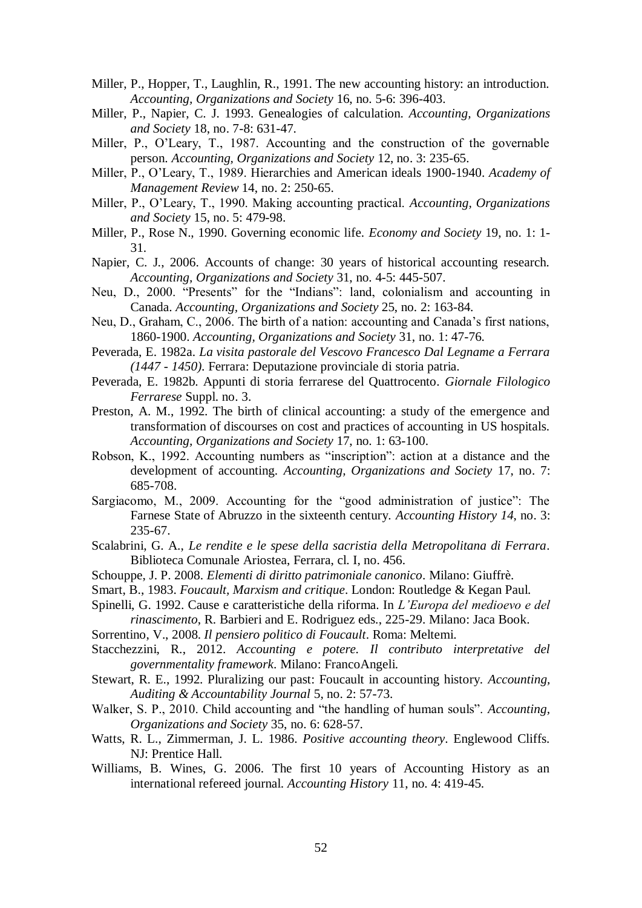- Miller, P., Hopper, T., Laughlin, R., 1991. The new accounting history: an introduction. *Accounting, Organizations and Society* 16, no. 5-6: 396-403.
- Miller, P., Napier, C. J. 1993. Genealogies of calculation. *Accounting, Organizations and Society* 18, no. 7-8: 631-47.
- Miller, P., O'Leary, T., 1987. Accounting and the construction of the governable person. *Accounting, Organizations and Society* 12, no. 3: 235-65.
- Miller, P., O'Leary, T., 1989. Hierarchies and American ideals 1900-1940. *Academy of Management Review* 14, no. 2: 250-65.
- Miller, P., O'Leary, T., 1990. Making accounting practical. *Accounting, Organizations and Society* 15, no. 5: 479-98.
- Miller, P., Rose N., 1990. Governing economic life. *Economy and Society* 19, no. 1: 1- 31.

Napier, C. J., 2006. Accounts of change: 30 years of historical accounting research. *Accounting, Organizations and Society* 31, no. 4-5: 445-507.

- Neu, D., 2000. "Presents" for the "Indians": land, colonialism and accounting in Canada. *Accounting, Organizations and Society* 25, no. 2: 163-84.
- Neu, D., Graham, C., 2006. The birth of a nation: accounting and Canada's first nations, 1860-1900. *Accounting, Organizations and Society* 31, no. 1: 47-76.
- Peverada, E. 1982a. *La visita pastorale del Vescovo Francesco Dal Legname a Ferrara (1447 - 1450)*. Ferrara: Deputazione provinciale di storia patria.
- Peverada, E. 1982b. Appunti di storia ferrarese del Quattrocento. *Giornale Filologico Ferrarese* Suppl. no. 3.

Preston, A. M., 1992. The birth of clinical accounting: a study of the emergence and transformation of discourses on cost and practices of accounting in US hospitals. *Accounting, Organizations and Society* 17, no. 1: 63-100.

- Robson, K., 1992. Accounting numbers as "inscription": action at a distance and the development of accounting. *Accounting, Organizations and Society* 17, no. 7: 685-708.
- Sargiacomo, M., 2009. Accounting for the "good administration of justice": The Farnese State of Abruzzo in the sixteenth century. *Accounting History 14*, no. 3: 235-67.
- Scalabrini, G. A., *Le rendite e le spese della sacristia della Metropolitana di Ferrara*. Biblioteca Comunale Ariostea, Ferrara, cl. I, no. 456.
- Schouppe, J. P. 2008. *Elementi di diritto patrimoniale canonico*. Milano: Giuffrè.
- Smart, B., 1983. *Foucault, Marxism and critique*. London: Routledge & Kegan Paul.
- Spinelli, G. 1992. Cause e caratteristiche della riforma. In *L'Europa del medioevo e del rinascimento*, R. Barbieri and E. Rodriguez eds., 225-29. Milano: Jaca Book.
- Sorrentino, V., 2008. *Il pensiero politico di Foucault*. Roma: Meltemi.
- Stacchezzini, R., 2012. *Accounting e potere. Il contributo interpretative del governmentality framework*. Milano: FrancoAngeli.
- Stewart, R. E., 1992. Pluralizing our past: Foucault in accounting history. *Accounting, Auditing & Accountability Journal* 5, no. 2: 57-73.
- Walker, S. P., 2010. Child accounting and "the handling of human souls". *Accounting, Organizations and Society* 35, no. 6: 628-57.
- Watts, R. L., Zimmerman, J. L. 1986. *Positive accounting theory*. Englewood Cliffs. NJ: Prentice Hall.
- Williams, B. Wines, G. 2006. The first 10 years of Accounting History as an international refereed journal. *Accounting History* 11, no. 4: 419-45.